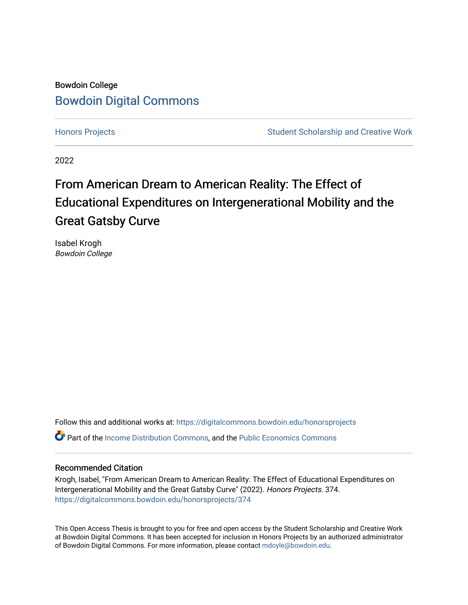# Bowdoin College [Bowdoin Digital Commons](https://digitalcommons.bowdoin.edu/)

[Honors Projects](https://digitalcommons.bowdoin.edu/honorsprojects) **Student Scholarship and Creative Work** Student Scholarship and Creative Work

2022

# From American Dream to American Reality: The Effect of Educational Expenditures on Intergenerational Mobility and the Great Gatsby Curve

Isabel Krogh Bowdoin College

Follow this and additional works at: [https://digitalcommons.bowdoin.edu/honorsprojects](https://digitalcommons.bowdoin.edu/honorsprojects?utm_source=digitalcommons.bowdoin.edu%2Fhonorsprojects%2F374&utm_medium=PDF&utm_campaign=PDFCoverPages)

**P** Part of the [Income Distribution Commons,](https://network.bepress.com/hgg/discipline/1269?utm_source=digitalcommons.bowdoin.edu%2Fhonorsprojects%2F374&utm_medium=PDF&utm_campaign=PDFCoverPages) and the Public Economics Commons

### Recommended Citation

Krogh, Isabel, "From American Dream to American Reality: The Effect of Educational Expenditures on Intergenerational Mobility and the Great Gatsby Curve" (2022). Honors Projects. 374. [https://digitalcommons.bowdoin.edu/honorsprojects/374](https://digitalcommons.bowdoin.edu/honorsprojects/374?utm_source=digitalcommons.bowdoin.edu%2Fhonorsprojects%2F374&utm_medium=PDF&utm_campaign=PDFCoverPages)

This Open Access Thesis is brought to you for free and open access by the Student Scholarship and Creative Work at Bowdoin Digital Commons. It has been accepted for inclusion in Honors Projects by an authorized administrator of Bowdoin Digital Commons. For more information, please contact [mdoyle@bowdoin.edu.](mailto:mdoyle@bowdoin.edu)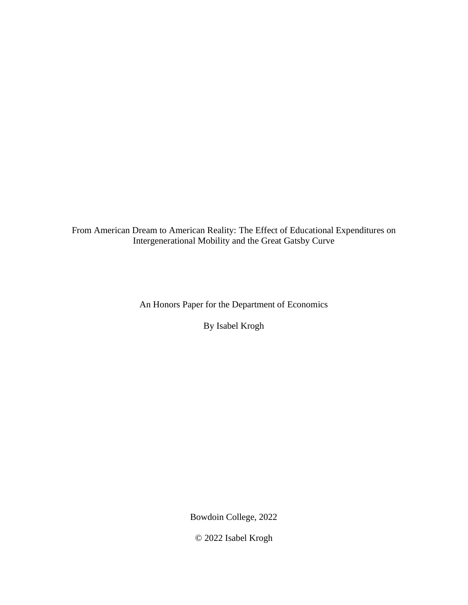From American Dream to American Reality: The Effect of Educational Expenditures on Intergenerational Mobility and the Great Gatsby Curve

An Honors Paper for the Department of Economics

By Isabel Krogh

Bowdoin College, 2022

© 2022 Isabel Krogh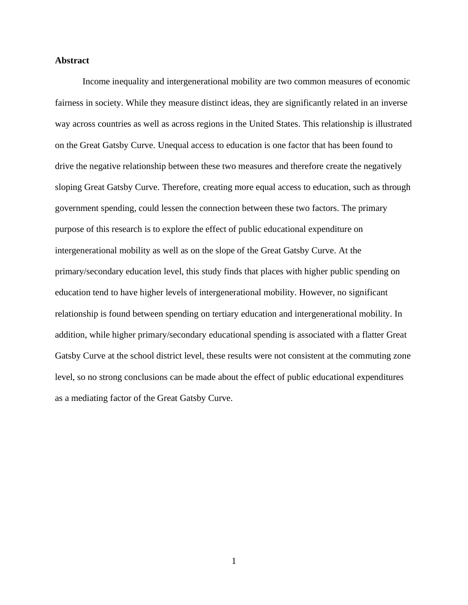#### **Abstract**

Income inequality and intergenerational mobility are two common measures of economic fairness in society. While they measure distinct ideas, they are significantly related in an inverse way across countries as well as across regions in the United States. This relationship is illustrated on the Great Gatsby Curve. Unequal access to education is one factor that has been found to drive the negative relationship between these two measures and therefore create the negatively sloping Great Gatsby Curve. Therefore, creating more equal access to education, such as through government spending, could lessen the connection between these two factors. The primary purpose of this research is to explore the effect of public educational expenditure on intergenerational mobility as well as on the slope of the Great Gatsby Curve. At the primary/secondary education level, this study finds that places with higher public spending on education tend to have higher levels of intergenerational mobility. However, no significant relationship is found between spending on tertiary education and intergenerational mobility. In addition, while higher primary/secondary educational spending is associated with a flatter Great Gatsby Curve at the school district level, these results were not consistent at the commuting zone level, so no strong conclusions can be made about the effect of public educational expenditures as a mediating factor of the Great Gatsby Curve.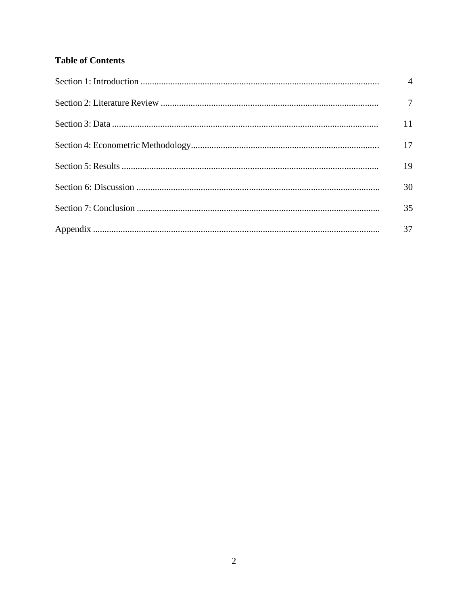# **Table of Contents**

| $\overline{4}$  |
|-----------------|
| $7\phantom{.0}$ |
| 11              |
| 17              |
| 19              |
| 30              |
| 35              |
| 37              |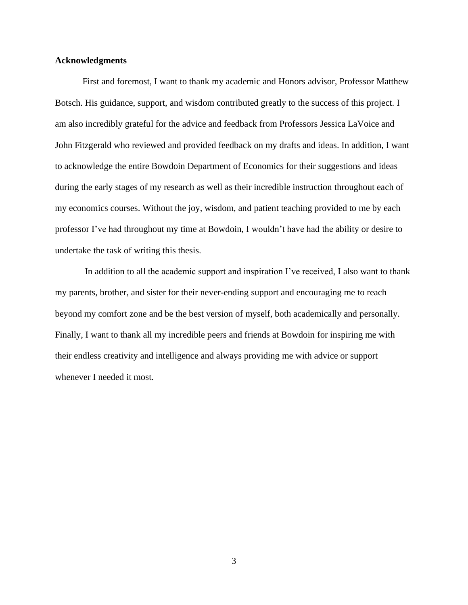### **Acknowledgments**

First and foremost, I want to thank my academic and Honors advisor, Professor Matthew Botsch. His guidance, support, and wisdom contributed greatly to the success of this project. I am also incredibly grateful for the advice and feedback from Professors Jessica LaVoice and John Fitzgerald who reviewed and provided feedback on my drafts and ideas. In addition, I want to acknowledge the entire Bowdoin Department of Economics for their suggestions and ideas during the early stages of my research as well as their incredible instruction throughout each of my economics courses. Without the joy, wisdom, and patient teaching provided to me by each professor I've had throughout my time at Bowdoin, I wouldn't have had the ability or desire to undertake the task of writing this thesis.

In addition to all the academic support and inspiration I've received, I also want to thank my parents, brother, and sister for their never-ending support and encouraging me to reach beyond my comfort zone and be the best version of myself, both academically and personally. Finally, I want to thank all my incredible peers and friends at Bowdoin for inspiring me with their endless creativity and intelligence and always providing me with advice or support whenever I needed it most.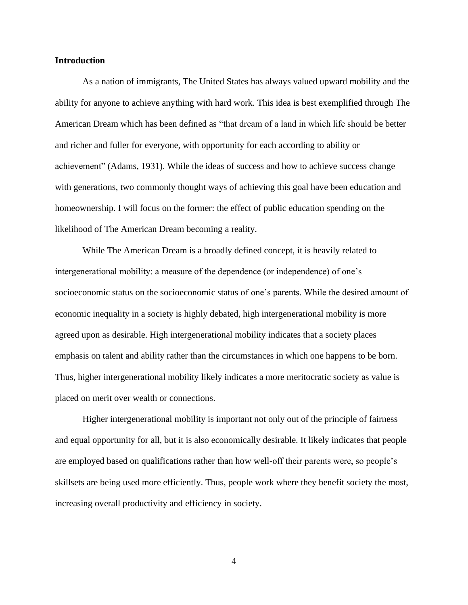#### **Introduction**

As a nation of immigrants, The United States has always valued upward mobility and the ability for anyone to achieve anything with hard work. This idea is best exemplified through The American Dream which has been defined as "that dream of a land in which life should be better and richer and fuller for everyone, with opportunity for each according to ability or achievement" (Adams, 1931). While the ideas of success and how to achieve success change with generations, two commonly thought ways of achieving this goal have been education and homeownership. I will focus on the former: the effect of public education spending on the likelihood of The American Dream becoming a reality.

While The American Dream is a broadly defined concept, it is heavily related to intergenerational mobility: a measure of the dependence (or independence) of one's socioeconomic status on the socioeconomic status of one's parents. While the desired amount of economic inequality in a society is highly debated, high intergenerational mobility is more agreed upon as desirable. High intergenerational mobility indicates that a society places emphasis on talent and ability rather than the circumstances in which one happens to be born. Thus, higher intergenerational mobility likely indicates a more meritocratic society as value is placed on merit over wealth or connections.

Higher intergenerational mobility is important not only out of the principle of fairness and equal opportunity for all, but it is also economically desirable. It likely indicates that people are employed based on qualifications rather than how well-off their parents were, so people's skillsets are being used more efficiently. Thus, people work where they benefit society the most, increasing overall productivity and efficiency in society.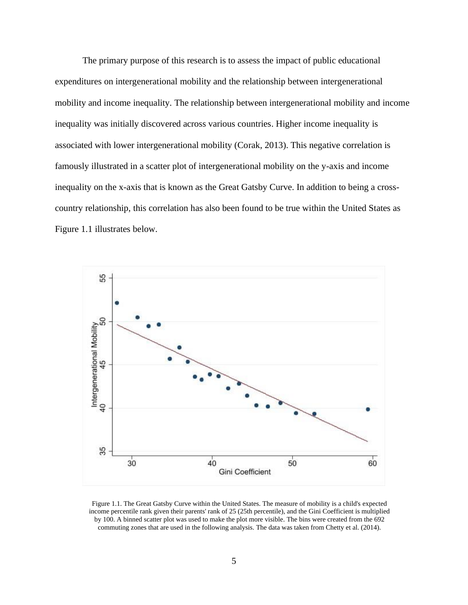The primary purpose of this research is to assess the impact of public educational expenditures on intergenerational mobility and the relationship between intergenerational mobility and income inequality. The relationship between intergenerational mobility and income inequality was initially discovered across various countries. Higher income inequality is associated with lower intergenerational mobility (Corak, 2013). This negative correlation is famously illustrated in a scatter plot of intergenerational mobility on the y-axis and income inequality on the x-axis that is known as the Great Gatsby Curve. In addition to being a crosscountry relationship, this correlation has also been found to be true within the United States as Figure 1.1 illustrates below.



Figure 1.1. The Great Gatsby Curve within the United States. The measure of mobility is a child's expected income percentile rank given their parents' rank of 25 (25th percentile), and the Gini Coefficient is multiplied by 100. A binned scatter plot was used to make the plot more visible. The bins were created from the 692 commuting zones that are used in the following analysis. The data was taken from Chetty et al. (2014).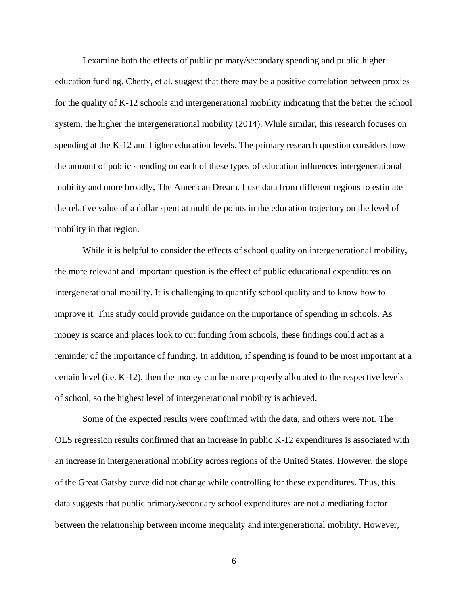I examine both the effects of public primary/secondary spending and public higher education funding. Chetty, et al. suggest that there may be a positive correlation between proxies for the quality of K-12 schools and intergenerational mobility indicating that the better the school system, the higher the intergenerational mobility (2014). While similar, this research focuses on spending at the K-12 and higher education levels. The primary research question considers how the amount of public spending on each of these types of education influences intergenerational mobility and more broadly, The American Dream. I use data from different regions to estimate the relative value of a dollar spent at multiple points in the education trajectory on the level of mobility in that region.

While it is helpful to consider the effects of school quality on intergenerational mobility, the more relevant and important question is the effect of public educational expenditures on intergenerational mobility. It is challenging to quantify school quality and to know how to improve it. This study could provide guidance on the importance of spending in schools. As money is scarce and places look to cut funding from schools, these findings could act as a reminder of the importance of funding. In addition, if spending is found to be most important at a certain level (i.e. K-12), then the money can be more properly allocated to the respective levels of school, so the highest level of intergenerational mobility is achieved.

Some of the expected results were confirmed with the data, and others were not. The OLS regression results confirmed that an increase in public K-12 expenditures is associated with an increase in intergenerational mobility across regions of the United States. However, the slope of the Great Gatsby curve did not change while controlling for these expenditures. Thus, this data suggests that public primary/secondary school expenditures are not a mediating factor between the relationship between income inequality and intergenerational mobility. However,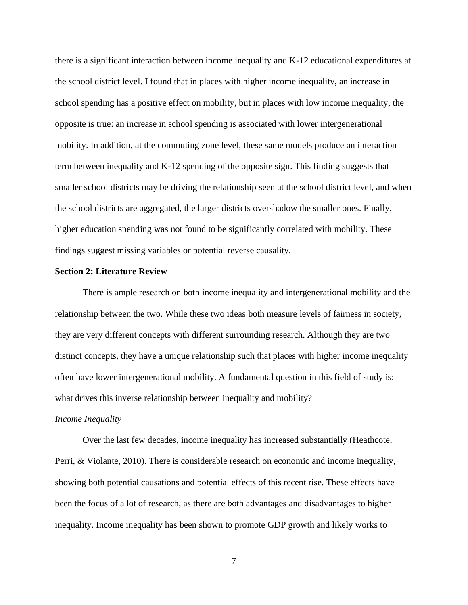there is a significant interaction between income inequality and K-12 educational expenditures at the school district level. I found that in places with higher income inequality, an increase in school spending has a positive effect on mobility, but in places with low income inequality, the opposite is true: an increase in school spending is associated with lower intergenerational mobility. In addition, at the commuting zone level, these same models produce an interaction term between inequality and K-12 spending of the opposite sign. This finding suggests that smaller school districts may be driving the relationship seen at the school district level, and when the school districts are aggregated, the larger districts overshadow the smaller ones. Finally, higher education spending was not found to be significantly correlated with mobility. These findings suggest missing variables or potential reverse causality.

#### **Section 2: Literature Review**

There is ample research on both income inequality and intergenerational mobility and the relationship between the two. While these two ideas both measure levels of fairness in society, they are very different concepts with different surrounding research. Although they are two distinct concepts, they have a unique relationship such that places with higher income inequality often have lower intergenerational mobility. A fundamental question in this field of study is: what drives this inverse relationship between inequality and mobility?

#### *Income Inequality*

Over the last few decades, income inequality has increased substantially (Heathcote, Perri, & Violante, 2010). There is considerable research on economic and income inequality, showing both potential causations and potential effects of this recent rise. These effects have been the focus of a lot of research, as there are both advantages and disadvantages to higher inequality. Income inequality has been shown to promote GDP growth and likely works to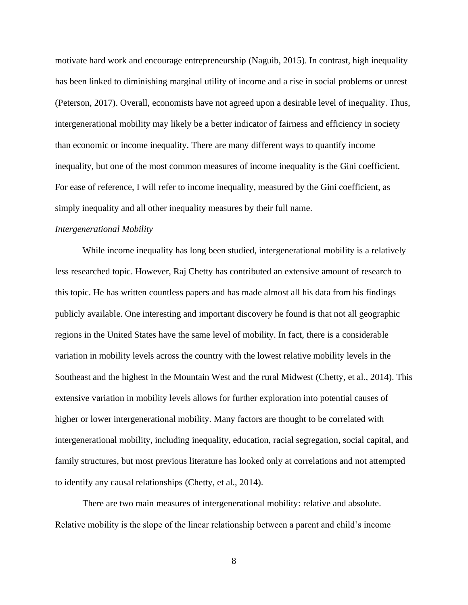motivate hard work and encourage entrepreneurship (Naguib, 2015). In contrast, high inequality has been linked to diminishing marginal utility of income and a rise in social problems or unrest (Peterson, 2017). Overall, economists have not agreed upon a desirable level of inequality. Thus, intergenerational mobility may likely be a better indicator of fairness and efficiency in society than economic or income inequality. There are many different ways to quantify income inequality, but one of the most common measures of income inequality is the Gini coefficient. For ease of reference, I will refer to income inequality, measured by the Gini coefficient, as simply inequality and all other inequality measures by their full name.

#### *Intergenerational Mobility*

While income inequality has long been studied, intergenerational mobility is a relatively less researched topic. However, Raj Chetty has contributed an extensive amount of research to this topic. He has written countless papers and has made almost all his data from his findings publicly available. One interesting and important discovery he found is that not all geographic regions in the United States have the same level of mobility. In fact, there is a considerable variation in mobility levels across the country with the lowest relative mobility levels in the Southeast and the highest in the Mountain West and the rural Midwest (Chetty, et al., 2014). This extensive variation in mobility levels allows for further exploration into potential causes of higher or lower intergenerational mobility. Many factors are thought to be correlated with intergenerational mobility, including inequality, education, racial segregation, social capital, and family structures, but most previous literature has looked only at correlations and not attempted to identify any causal relationships (Chetty, et al., 2014).

There are two main measures of intergenerational mobility: relative and absolute. Relative mobility is the slope of the linear relationship between a parent and child's income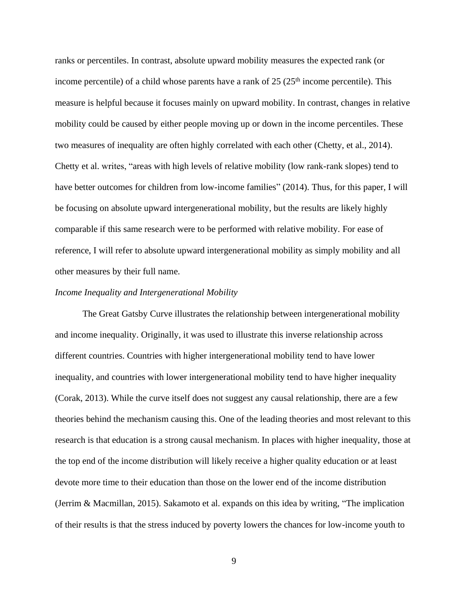ranks or percentiles. In contrast, absolute upward mobility measures the expected rank (or income percentile) of a child whose parents have a rank of  $25 \times 25$ <sup>th</sup> income percentile). This measure is helpful because it focuses mainly on upward mobility. In contrast, changes in relative mobility could be caused by either people moving up or down in the income percentiles. These two measures of inequality are often highly correlated with each other (Chetty, et al., 2014). Chetty et al. writes, "areas with high levels of relative mobility (low rank-rank slopes) tend to have better outcomes for children from low-income families" (2014). Thus, for this paper, I will be focusing on absolute upward intergenerational mobility, but the results are likely highly comparable if this same research were to be performed with relative mobility. For ease of reference, I will refer to absolute upward intergenerational mobility as simply mobility and all other measures by their full name.

#### *Income Inequality and Intergenerational Mobility*

The Great Gatsby Curve illustrates the relationship between intergenerational mobility and income inequality. Originally, it was used to illustrate this inverse relationship across different countries. Countries with higher intergenerational mobility tend to have lower inequality, and countries with lower intergenerational mobility tend to have higher inequality (Corak, 2013). While the curve itself does not suggest any causal relationship, there are a few theories behind the mechanism causing this. One of the leading theories and most relevant to this research is that education is a strong causal mechanism. In places with higher inequality, those at the top end of the income distribution will likely receive a higher quality education or at least devote more time to their education than those on the lower end of the income distribution (Jerrim & Macmillan, 2015). Sakamoto et al. expands on this idea by writing, "The implication of their results is that the stress induced by poverty lowers the chances for low-income youth to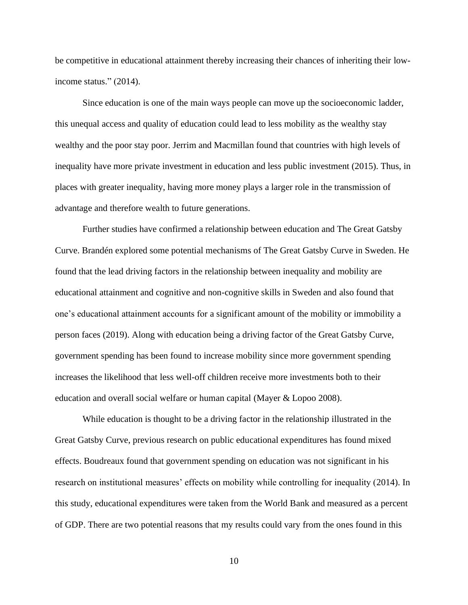be competitive in educational attainment thereby increasing their chances of inheriting their lowincome status." (2014).

Since education is one of the main ways people can move up the socioeconomic ladder, this unequal access and quality of education could lead to less mobility as the wealthy stay wealthy and the poor stay poor. Jerrim and Macmillan found that countries with high levels of inequality have more private investment in education and less public investment (2015). Thus, in places with greater inequality, having more money plays a larger role in the transmission of advantage and therefore wealth to future generations.

Further studies have confirmed a relationship between education and The Great Gatsby Curve. Brandén explored some potential mechanisms of The Great Gatsby Curve in Sweden. He found that the lead driving factors in the relationship between inequality and mobility are educational attainment and cognitive and non-cognitive skills in Sweden and also found that one's educational attainment accounts for a significant amount of the mobility or immobility a person faces (2019). Along with education being a driving factor of the Great Gatsby Curve, government spending has been found to increase mobility since more government spending increases the likelihood that less well-off children receive more investments both to their education and overall social welfare or human capital (Mayer & Lopoo 2008).

While education is thought to be a driving factor in the relationship illustrated in the Great Gatsby Curve, previous research on public educational expenditures has found mixed effects. Boudreaux found that government spending on education was not significant in his research on institutional measures' effects on mobility while controlling for inequality (2014). In this study, educational expenditures were taken from the World Bank and measured as a percent of GDP. There are two potential reasons that my results could vary from the ones found in this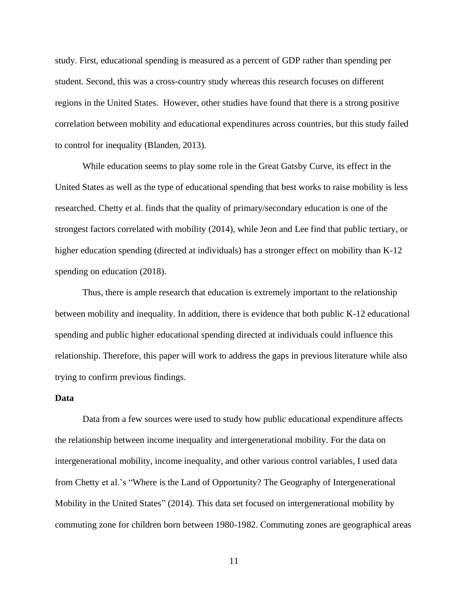study. First, educational spending is measured as a percent of GDP rather than spending per student. Second, this was a cross-country study whereas this research focuses on different regions in the United States. However, other studies have found that there is a strong positive correlation between mobility and educational expenditures across countries, but this study failed to control for inequality (Blanden, 2013).

While education seems to play some role in the Great Gatsby Curve, its effect in the United States as well as the type of educational spending that best works to raise mobility is less researched. Chetty et al. finds that the quality of primary/secondary education is one of the strongest factors correlated with mobility (2014), while Jeon and Lee find that public tertiary, or higher education spending (directed at individuals) has a stronger effect on mobility than K-12 spending on education (2018).

Thus, there is ample research that education is extremely important to the relationship between mobility and inequality. In addition, there is evidence that both public K-12 educational spending and public higher educational spending directed at individuals could influence this relationship. Therefore, this paper will work to address the gaps in previous literature while also trying to confirm previous findings.

#### **Data**

Data from a few sources were used to study how public educational expenditure affects the relationship between income inequality and intergenerational mobility. For the data on intergenerational mobility, income inequality, and other various control variables, I used data from Chetty et al.'s "Where is the Land of Opportunity? The Geography of Intergenerational Mobility in the United States" (2014). This data set focused on intergenerational mobility by commuting zone for children born between 1980-1982. Commuting zones are geographical areas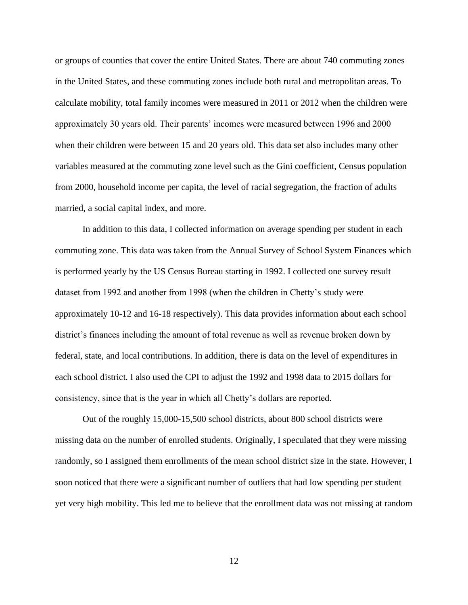or groups of counties that cover the entire United States. There are about 740 commuting zones in the United States, and these commuting zones include both rural and metropolitan areas. To calculate mobility, total family incomes were measured in 2011 or 2012 when the children were approximately 30 years old. Their parents' incomes were measured between 1996 and 2000 when their children were between 15 and 20 years old. This data set also includes many other variables measured at the commuting zone level such as the Gini coefficient, Census population from 2000, household income per capita, the level of racial segregation, the fraction of adults married, a social capital index, and more.

In addition to this data, I collected information on average spending per student in each commuting zone. This data was taken from the Annual Survey of School System Finances which is performed yearly by the US Census Bureau starting in 1992. I collected one survey result dataset from 1992 and another from 1998 (when the children in Chetty's study were approximately 10-12 and 16-18 respectively). This data provides information about each school district's finances including the amount of total revenue as well as revenue broken down by federal, state, and local contributions. In addition, there is data on the level of expenditures in each school district. I also used the CPI to adjust the 1992 and 1998 data to 2015 dollars for consistency, since that is the year in which all Chetty's dollars are reported.

Out of the roughly 15,000-15,500 school districts, about 800 school districts were missing data on the number of enrolled students. Originally, I speculated that they were missing randomly, so I assigned them enrollments of the mean school district size in the state. However, I soon noticed that there were a significant number of outliers that had low spending per student yet very high mobility. This led me to believe that the enrollment data was not missing at random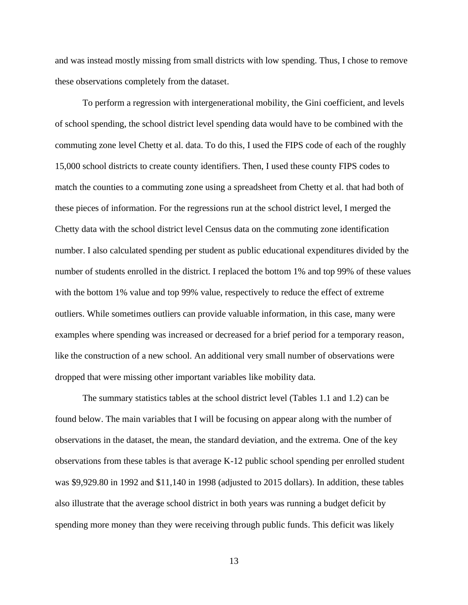and was instead mostly missing from small districts with low spending. Thus, I chose to remove these observations completely from the dataset.

To perform a regression with intergenerational mobility, the Gini coefficient, and levels of school spending, the school district level spending data would have to be combined with the commuting zone level Chetty et al. data. To do this, I used the FIPS code of each of the roughly 15,000 school districts to create county identifiers. Then, I used these county FIPS codes to match the counties to a commuting zone using a spreadsheet from Chetty et al. that had both of these pieces of information. For the regressions run at the school district level, I merged the Chetty data with the school district level Census data on the commuting zone identification number. I also calculated spending per student as public educational expenditures divided by the number of students enrolled in the district. I replaced the bottom 1% and top 99% of these values with the bottom 1% value and top 99% value, respectively to reduce the effect of extreme outliers. While sometimes outliers can provide valuable information, in this case, many were examples where spending was increased or decreased for a brief period for a temporary reason, like the construction of a new school. An additional very small number of observations were dropped that were missing other important variables like mobility data.

The summary statistics tables at the school district level (Tables 1.1 and 1.2) can be found below. The main variables that I will be focusing on appear along with the number of observations in the dataset, the mean, the standard deviation, and the extrema. One of the key observations from these tables is that average K-12 public school spending per enrolled student was \$9,929.80 in 1992 and \$11,140 in 1998 (adjusted to 2015 dollars). In addition, these tables also illustrate that the average school district in both years was running a budget deficit by spending more money than they were receiving through public funds. This deficit was likely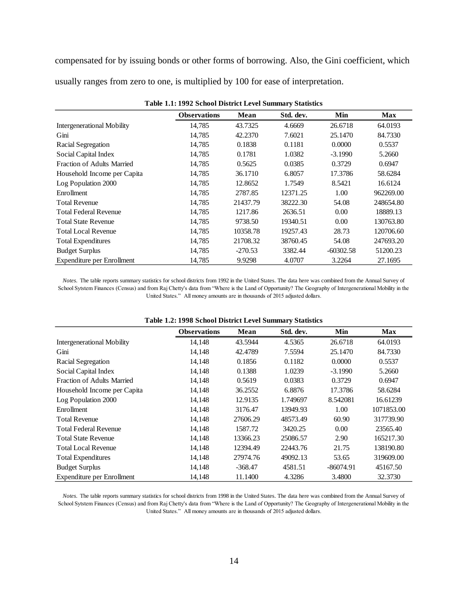compensated for by issuing bonds or other forms of borrowing. Also, the Gini coefficient, which usually ranges from zero to one, is multiplied by 100 for ease of interpretation.

|                                   | <b>Observations</b> | Mean      | Std. dev. | Min         | Max       |
|-----------------------------------|---------------------|-----------|-----------|-------------|-----------|
| <b>Intergenerational Mobility</b> | 14,785              | 43.7325   | 4.6669    | 26.6718     | 64.0193   |
| Gini                              | 14,785              | 42.2370   | 7.6021    | 25.1470     | 84.7330   |
| Racial Segregation                | 14,785              | 0.1838    | 0.1181    | 0.0000      | 0.5537    |
| Social Capital Index              | 14,785              | 0.1781    | 1.0382    | $-3.1990$   | 5.2660    |
| <b>Fraction of Adults Married</b> | 14,785              | 0.5625    | 0.0385    | 0.3729      | 0.6947    |
| Household Income per Capita       | 14,785              | 36.1710   | 6.8057    | 17.3786     | 58.6284   |
| Log Population 2000               | 14,785              | 12.8652   | 1.7549    | 8.5421      | 16.6124   |
| Enrollment                        | 14,785              | 2787.85   | 12371.25  | 1.00        | 962269.00 |
| <b>Total Revenue</b>              | 14,785              | 21437.79  | 38222.30  | 54.08       | 248654.80 |
| <b>Total Federal Revenue</b>      | 14,785              | 1217.86   | 2636.51   | 0.00        | 18889.13  |
| <b>Total State Revenue</b>        | 14,785              | 9738.50   | 19340.51  | 0.00        | 130763.80 |
| <b>Total Local Revenue</b>        | 14,785              | 10358.78  | 19257.43  | 28.73       | 120706.60 |
| <b>Total Expenditures</b>         | 14,785              | 21708.32  | 38760.45  | 54.08       | 247693.20 |
| <b>Budget Surplus</b>             | 14,785              | $-270.53$ | 3382.44   | $-60302.58$ | 51200.23  |
| Expenditure per Enrollment        | 14,785              | 9.9298    | 4.0707    | 3.2264      | 27.1695   |

**Table 1.1: 1992 School District Level Summary Statistics**

*Notes.* The table reports summary statistics for school districts from 1992 in the United States. The data here was combined from the Annual Survey of School Sytstem Finances (Census) and from Raj Chetty's data from "Where is the Land of Opportunity? The Geography of Intergenerational Mobility in the United States." All money amounts are in thousands of 2015 adjusted dollars.

| Table 1.2. 1996 School District Level Summary Statistics |                     |           |           |           |            |  |  |  |  |  |
|----------------------------------------------------------|---------------------|-----------|-----------|-----------|------------|--|--|--|--|--|
|                                                          | <b>Observations</b> | Mean      | Std. dev. | Min       | <b>Max</b> |  |  |  |  |  |
| <b>Intergenerational Mobility</b>                        | 14,148              | 43.5944   | 4.5365    | 26.6718   | 64.0193    |  |  |  |  |  |
| Gini                                                     | 14.148              | 42.4789   | 7.5594    | 25.1470   | 84.7330    |  |  |  |  |  |
| Racial Segregation                                       | 14,148              | 0.1856    | 0.1182    | 0.0000    | 0.5537     |  |  |  |  |  |
| Social Capital Index                                     | 14,148              | 0.1388    | 1.0239    | $-3.1990$ | 5.2660     |  |  |  |  |  |
| Fraction of Adults Married                               | 14,148              | 0.5619    | 0.0383    | 0.3729    | 0.6947     |  |  |  |  |  |
| Household Income per Capita                              | 14,148              | 36.2552   | 6.8876    | 17.3786   | 58.6284    |  |  |  |  |  |
| Log Population 2000                                      | 14,148              | 12.9135   | 1.749697  | 8.542081  | 16.61239   |  |  |  |  |  |
| Enrollment                                               | 14,148              | 3176.47   | 13949.93  | 1.00      | 1071853.00 |  |  |  |  |  |
| <b>Total Revenue</b>                                     | 14,148              | 27606.29  | 48573.49  | 60.90     | 317739.90  |  |  |  |  |  |
| <b>Total Federal Revenue</b>                             | 14,148              | 1587.72   | 3420.25   | 0.00      | 23565.40   |  |  |  |  |  |
| <b>Total State Revenue</b>                               | 14,148              | 13366.23  | 25086.57  | 2.90      | 165217.30  |  |  |  |  |  |
| <b>Total Local Revenue</b>                               | 14,148              | 12394.49  | 22443.76  | 21.75     | 138190.80  |  |  |  |  |  |
| <b>Total Expenditures</b>                                | 14,148              | 27974.76  | 49092.13  | 53.65     | 319609.00  |  |  |  |  |  |
| <b>Budget Surplus</b>                                    | 14,148              | $-368.47$ | 4581.51   | -86074.91 | 45167.50   |  |  |  |  |  |
| Expenditure per Enrollment                               | 14,148              | 11.1400   | 4.3286    | 3.4800    | 32.3730    |  |  |  |  |  |

#### **Table 1.2: 1998 School District Level Summary Statistics**

*Notes.* The table reports summary statistics for school districts from 1998 in the United States. The data here was combined from the Annual Survey of School Sytstem Finances (Census) and from Raj Chetty's data from "Where is the Land of Opportunity? The Geography of Intergenerational Mobility in the United States." All money amounts are in thousands of 2015 adjusted dollars.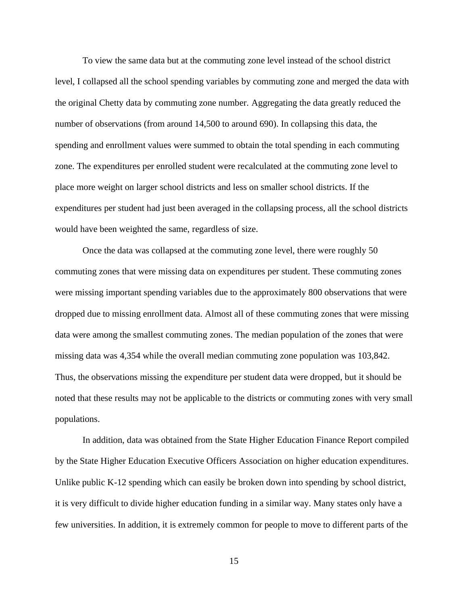To view the same data but at the commuting zone level instead of the school district level, I collapsed all the school spending variables by commuting zone and merged the data with the original Chetty data by commuting zone number. Aggregating the data greatly reduced the number of observations (from around 14,500 to around 690). In collapsing this data, the spending and enrollment values were summed to obtain the total spending in each commuting zone. The expenditures per enrolled student were recalculated at the commuting zone level to place more weight on larger school districts and less on smaller school districts. If the expenditures per student had just been averaged in the collapsing process, all the school districts would have been weighted the same, regardless of size.

Once the data was collapsed at the commuting zone level, there were roughly 50 commuting zones that were missing data on expenditures per student. These commuting zones were missing important spending variables due to the approximately 800 observations that were dropped due to missing enrollment data. Almost all of these commuting zones that were missing data were among the smallest commuting zones. The median population of the zones that were missing data was 4,354 while the overall median commuting zone population was 103,842. Thus, the observations missing the expenditure per student data were dropped, but it should be noted that these results may not be applicable to the districts or commuting zones with very small populations.

In addition, data was obtained from the State Higher Education Finance Report compiled by the State Higher Education Executive Officers Association on higher education expenditures. Unlike public K-12 spending which can easily be broken down into spending by school district, it is very difficult to divide higher education funding in a similar way. Many states only have a few universities. In addition, it is extremely common for people to move to different parts of the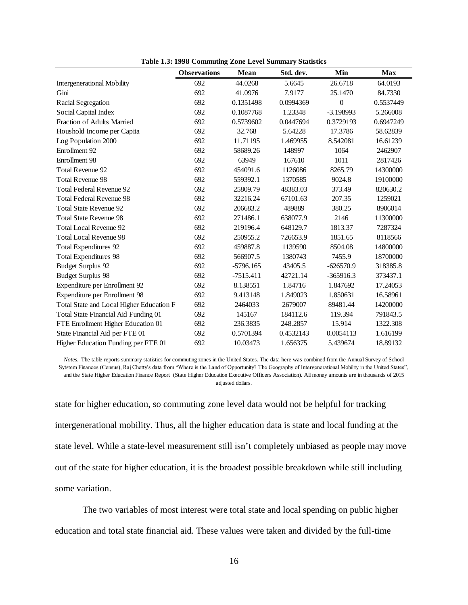|                                          | <b>Observations</b> | <b>Mean</b> | Std. dev. | Min         | <b>Max</b> |
|------------------------------------------|---------------------|-------------|-----------|-------------|------------|
| <b>Intergenerational Mobility</b>        | 692                 | 44.0268     | 5.6645    | 26.6718     | 64.0193    |
| Gini                                     | 692                 | 41.0976     | 7.9177    | 25.1470     | 84.7330    |
| Racial Segregation                       | 692                 | 0.1351498   | 0.0994369 | $\theta$    | 0.5537449  |
| Social Capital Index                     | 692                 | 0.1087768   | 1.23348   | $-3.198993$ | 5.266008   |
| <b>Fraction of Adults Married</b>        | 692                 | 0.5739602   | 0.0447694 | 0.3729193   | 0.6947249  |
| Houshold Income per Capita               | 692                 | 32.768      | 5.64228   | 17.3786     | 58.62839   |
| Log Population 2000                      | 692                 | 11.71195    | 1.469955  | 8.542081    | 16.61239   |
| Enrollment 92                            | 692                 | 58689.26    | 148997    | 1064        | 2462907    |
| Enrollment 98                            | 692                 | 63949       | 167610    | 1011        | 2817426    |
| <b>Total Revenue 92</b>                  | 692                 | 454091.6    | 1126086   | 8265.79     | 14300000   |
| <b>Total Revenue 98</b>                  | 692                 | 559392.1    | 1370585   | 9024.8      | 19100000   |
| <b>Total Federal Revenue 92</b>          | 692                 | 25809.79    | 48383.03  | 373.49      | 820630.2   |
| <b>Total Federal Revenue 98</b>          | 692                 | 32216.24    | 67101.63  | 207.35      | 1259021    |
| <b>Total State Revenue 92</b>            | 692                 | 206683.2    | 489889    | 380.25      | 8906014    |
| <b>Total State Revenue 98</b>            | 692                 | 271486.1    | 638077.9  | 2146        | 11300000   |
| <b>Total Local Revenue 92</b>            | 692                 | 219196.4    | 648129.7  | 1813.37     | 7287324    |
| <b>Total Local Revenue 98</b>            | 692                 | 250955.2    | 726653.9  | 1851.65     | 8118566    |
| <b>Total Expenditures 92</b>             | 692                 | 459887.8    | 1139590   | 8504.08     | 14800000   |
| <b>Total Expenditures 98</b>             | 692                 | 566907.5    | 1380743   | 7455.9      | 18700000   |
| <b>Budget Surplus 92</b>                 | 692                 | $-5796.165$ | 43405.5   | $-626570.9$ | 318385.8   |
| <b>Budget Surplus 98</b>                 | 692                 | $-7515.411$ | 42721.14  | $-365916.3$ | 373437.1   |
| Expenditure per Enrollment 92            | 692                 | 8.138551    | 1.84716   | 1.847692    | 17.24053   |
| Expenditure per Enrollment 98            | 692                 | 9.413148    | 1.849023  | 1.850631    | 16.58961   |
| Total State and Local Higher Education F | 692                 | 2464033     | 2679007   | 89481.44    | 14200000   |
| Total State Financial Aid Funding 01     | 692                 | 145167      | 184112.6  | 119.394     | 791843.5   |
| FTE Enrollment Higher Education 01       | 692                 | 236.3835    | 248.2857  | 15.914      | 1322.308   |
| State Financial Aid per FTE 01           | 692                 | 0.5701394   | 0.4532143 | 0.0054113   | 1.616199   |
| Higher Education Funding per FTE 01      | 692                 | 10.03473    | 1.656375  | 5.439674    | 18.89132   |

**Table 1.3: 1998 Commuting Zone Level Summary Statistics**

*Notes.* The table reports summary statistics for commuting zones in the United States. The data here was combined from the Annual Survey of School Sytstem Finances (Census), Raj Chetty's data from "Where is the Land of Opportunity? The Geography of Intergenerational Mobility in the United States", and the State Higher Education Finance Report (State Higher Education Executive Officers Association). All money amounts are in thousands of 2015 adjusted dollars.

state for higher education, so commuting zone level data would not be helpful for tracking intergenerational mobility. Thus, all the higher education data is state and local funding at the state level. While a state-level measurement still isn't completely unbiased as people may move out of the state for higher education, it is the broadest possible breakdown while still including some variation.

The two variables of most interest were total state and local spending on public higher education and total state financial aid. These values were taken and divided by the full-time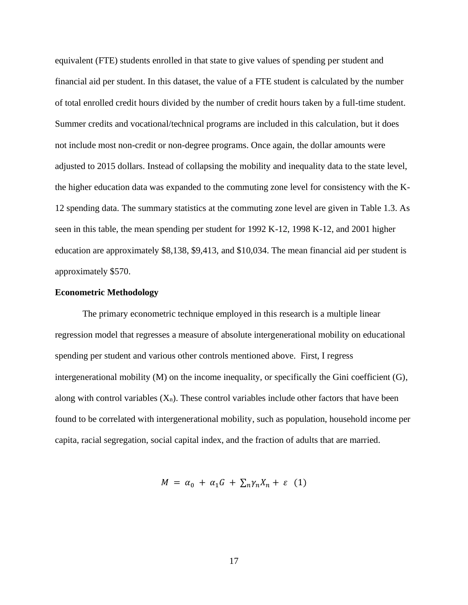equivalent (FTE) students enrolled in that state to give values of spending per student and financial aid per student. In this dataset, the value of a FTE student is calculated by the number of total enrolled credit hours divided by the number of credit hours taken by a full-time student. Summer credits and vocational/technical programs are included in this calculation, but it does not include most non-credit or non-degree programs. Once again, the dollar amounts were adjusted to 2015 dollars. Instead of collapsing the mobility and inequality data to the state level, the higher education data was expanded to the commuting zone level for consistency with the K-12 spending data. The summary statistics at the commuting zone level are given in Table 1.3. As seen in this table, the mean spending per student for 1992 K-12, 1998 K-12, and 2001 higher education are approximately \$8,138, \$9,413, and \$10,034. The mean financial aid per student is approximately \$570.

#### **Econometric Methodology**

The primary econometric technique employed in this research is a multiple linear regression model that regresses a measure of absolute intergenerational mobility on educational spending per student and various other controls mentioned above. First, I regress intergenerational mobility (M) on the income inequality, or specifically the Gini coefficient (G), along with control variables  $(X_n)$ . These control variables include other factors that have been found to be correlated with intergenerational mobility, such as population, household income per capita, racial segregation, social capital index, and the fraction of adults that are married.

$$
M = \alpha_0 + \alpha_1 G + \sum_n \gamma_n X_n + \varepsilon \quad (1)
$$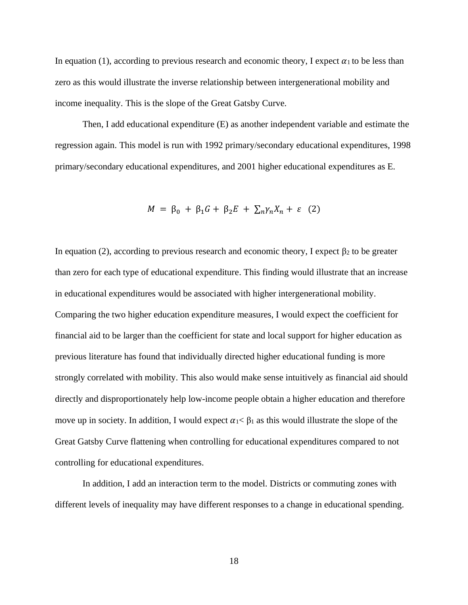In equation (1), according to previous research and economic theory, I expect  $\alpha_1$  to be less than zero as this would illustrate the inverse relationship between intergenerational mobility and income inequality. This is the slope of the Great Gatsby Curve.

Then, I add educational expenditure (E) as another independent variable and estimate the regression again. This model is run with 1992 primary/secondary educational expenditures, 1998 primary/secondary educational expenditures, and 2001 higher educational expenditures as E.

$$
M = \beta_0 + \beta_1 G + \beta_2 E + \sum_n \gamma_n X_n + \varepsilon
$$
 (2)

In equation (2), according to previous research and economic theory, I expect  $\beta_2$  to be greater than zero for each type of educational expenditure. This finding would illustrate that an increase in educational expenditures would be associated with higher intergenerational mobility. Comparing the two higher education expenditure measures, I would expect the coefficient for financial aid to be larger than the coefficient for state and local support for higher education as previous literature has found that individually directed higher educational funding is more strongly correlated with mobility. This also would make sense intuitively as financial aid should directly and disproportionately help low-income people obtain a higher education and therefore move up in society. In addition, I would expect  $\alpha_1 < \beta_1$  as this would illustrate the slope of the Great Gatsby Curve flattening when controlling for educational expenditures compared to not controlling for educational expenditures.

In addition, I add an interaction term to the model. Districts or commuting zones with different levels of inequality may have different responses to a change in educational spending.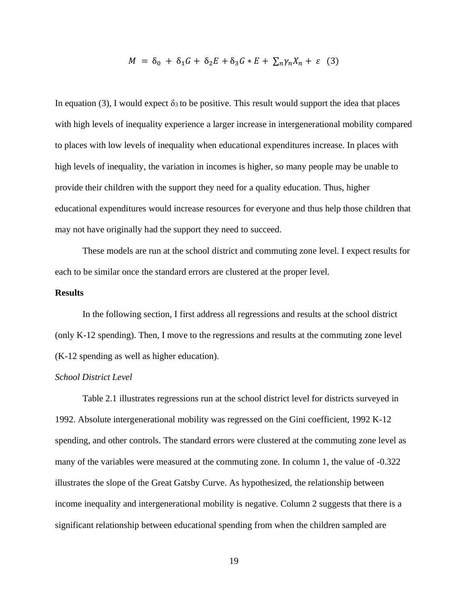$$
M = \delta_0 + \delta_1 G + \delta_2 E + \delta_3 G * E + \sum_n \gamma_n X_n + \varepsilon
$$
 (3)

In equation (3), I would expect  $\delta_3$  to be positive. This result would support the idea that places with high levels of inequality experience a larger increase in intergenerational mobility compared to places with low levels of inequality when educational expenditures increase. In places with high levels of inequality, the variation in incomes is higher, so many people may be unable to provide their children with the support they need for a quality education. Thus, higher educational expenditures would increase resources for everyone and thus help those children that may not have originally had the support they need to succeed.

These models are run at the school district and commuting zone level. I expect results for each to be similar once the standard errors are clustered at the proper level.

#### **Results**

In the following section, I first address all regressions and results at the school district (only K-12 spending). Then, I move to the regressions and results at the commuting zone level (K-12 spending as well as higher education).

#### *School District Level*

Table 2.1 illustrates regressions run at the school district level for districts surveyed in 1992. Absolute intergenerational mobility was regressed on the Gini coefficient, 1992 K-12 spending, and other controls. The standard errors were clustered at the commuting zone level as many of the variables were measured at the commuting zone. In column 1, the value of -0.322 illustrates the slope of the Great Gatsby Curve. As hypothesized, the relationship between income inequality and intergenerational mobility is negative. Column 2 suggests that there is a significant relationship between educational spending from when the children sampled are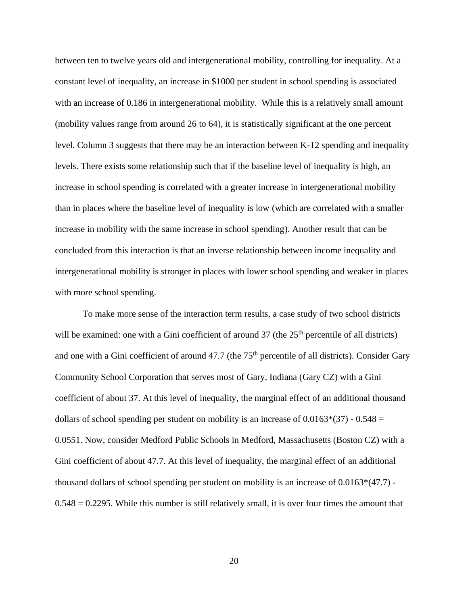between ten to twelve years old and intergenerational mobility, controlling for inequality. At a constant level of inequality, an increase in \$1000 per student in school spending is associated with an increase of 0.186 in intergenerational mobility. While this is a relatively small amount (mobility values range from around 26 to 64), it is statistically significant at the one percent level. Column 3 suggests that there may be an interaction between K-12 spending and inequality levels. There exists some relationship such that if the baseline level of inequality is high, an increase in school spending is correlated with a greater increase in intergenerational mobility than in places where the baseline level of inequality is low (which are correlated with a smaller increase in mobility with the same increase in school spending). Another result that can be concluded from this interaction is that an inverse relationship between income inequality and intergenerational mobility is stronger in places with lower school spending and weaker in places with more school spending.

To make more sense of the interaction term results, a case study of two school districts will be examined: one with a Gini coefficient of around  $37$  (the  $25<sup>th</sup>$  percentile of all districts) and one with a Gini coefficient of around 47.7 (the 75<sup>th</sup> percentile of all districts). Consider Gary Community School Corporation that serves most of Gary, Indiana (Gary CZ) with a Gini coefficient of about 37. At this level of inequality, the marginal effect of an additional thousand dollars of school spending per student on mobility is an increase of  $0.0163*(37)$  -  $0.548 =$ 0.0551. Now, consider Medford Public Schools in Medford, Massachusetts (Boston CZ) with a Gini coefficient of about 47.7. At this level of inequality, the marginal effect of an additional thousand dollars of school spending per student on mobility is an increase of  $0.0163*(47.7)$ .  $0.548 = 0.2295$ . While this number is still relatively small, it is over four times the amount that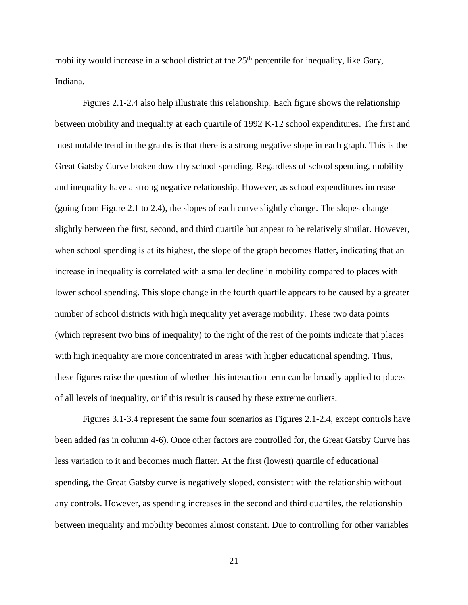mobility would increase in a school district at the 25<sup>th</sup> percentile for inequality, like Gary, Indiana.

Figures 2.1-2.4 also help illustrate this relationship. Each figure shows the relationship between mobility and inequality at each quartile of 1992 K-12 school expenditures. The first and most notable trend in the graphs is that there is a strong negative slope in each graph. This is the Great Gatsby Curve broken down by school spending. Regardless of school spending, mobility and inequality have a strong negative relationship. However, as school expenditures increase (going from Figure 2.1 to 2.4), the slopes of each curve slightly change. The slopes change slightly between the first, second, and third quartile but appear to be relatively similar. However, when school spending is at its highest, the slope of the graph becomes flatter, indicating that an increase in inequality is correlated with a smaller decline in mobility compared to places with lower school spending. This slope change in the fourth quartile appears to be caused by a greater number of school districts with high inequality yet average mobility. These two data points (which represent two bins of inequality) to the right of the rest of the points indicate that places with high inequality are more concentrated in areas with higher educational spending. Thus, these figures raise the question of whether this interaction term can be broadly applied to places of all levels of inequality, or if this result is caused by these extreme outliers.

Figures 3.1-3.4 represent the same four scenarios as Figures 2.1-2.4, except controls have been added (as in column 4-6). Once other factors are controlled for, the Great Gatsby Curve has less variation to it and becomes much flatter. At the first (lowest) quartile of educational spending, the Great Gatsby curve is negatively sloped, consistent with the relationship without any controls. However, as spending increases in the second and third quartiles, the relationship between inequality and mobility becomes almost constant. Due to controlling for other variables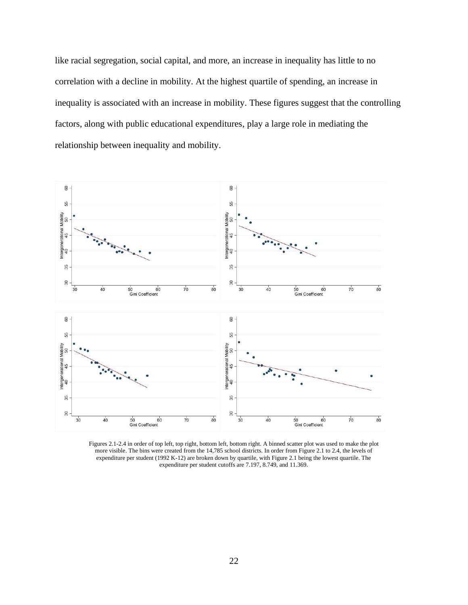like racial segregation, social capital, and more, an increase in inequality has little to no correlation with a decline in mobility. At the highest quartile of spending, an increase in inequality is associated with an increase in mobility. These figures suggest that the controlling factors, along with public educational expenditures, play a large role in mediating the relationship between inequality and mobility.



Figures 2.1-2.4 in order of top left, top right, bottom left, bottom right. A binned scatter plot was used to make the plot more visible. The bins were created from the 14,785 school districts. In order from Figure 2.1 to 2.4, the levels of expenditure per student (1992 K-12) are broken down by quartile, with Figure 2.1 being the lowest quartile. The expenditure per student cutoffs are 7.197, 8.749, and 11.369.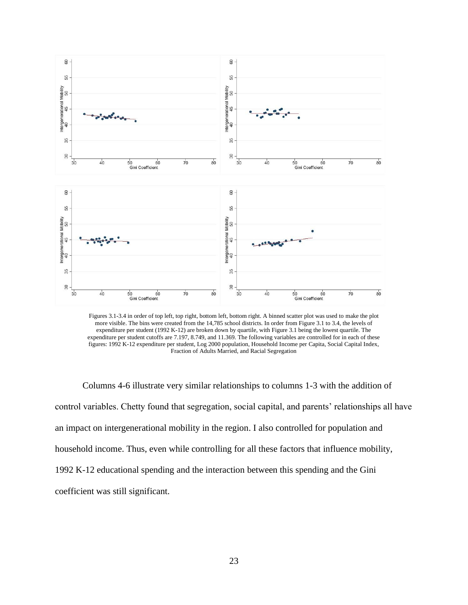

Figures 3.1-3.4 in order of top left, top right, bottom left, bottom right. A binned scatter plot was used to make the plot more visible. The bins were created from the 14,785 school districts. In order from Figure 3.1 to 3.4, the levels of expenditure per student (1992 K-12) are broken down by quartile, with Figure 3.1 being the lowest quartile. The expenditure per student cutoffs are 7.197, 8.749, and 11.369. The following variables are controlled for in each of these figures: 1992 K-12 expenditure per student, Log 2000 population, Household Income per Capita, Social Capital Index, Fraction of Adults Married, and Racial Segregation

Columns 4-6 illustrate very similar relationships to columns 1-3 with the addition of control variables. Chetty found that segregation, social capital, and parents' relationships all have an impact on intergenerational mobility in the region. I also controlled for population and household income. Thus, even while controlling for all these factors that influence mobility, 1992 K-12 educational spending and the interaction between this spending and the Gini coefficient was still significant.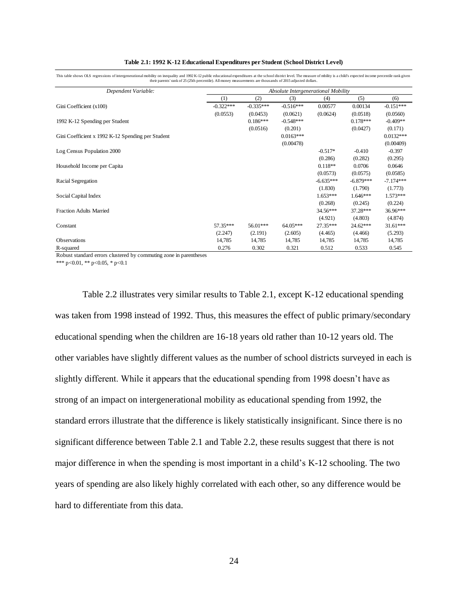|                                                   | then parents faint of $\omega$ ( $\omega$ th percentile). An inducy measurements are thousands of $\omega$ ib adjusted domais. |                                     |             |             |             |             |  |  |  |  |
|---------------------------------------------------|--------------------------------------------------------------------------------------------------------------------------------|-------------------------------------|-------------|-------------|-------------|-------------|--|--|--|--|
| Dependent Variable:                               |                                                                                                                                | Absolute Intergenerational Mobility |             |             |             |             |  |  |  |  |
|                                                   | (1)                                                                                                                            | (2)                                 | (3)         | (4)         | (5)         | (6)         |  |  |  |  |
| Gini Coefficient $(x100)$                         | $-0.322***$                                                                                                                    | $-0.335***$                         | $-0.516***$ | 0.00577     | 0.00134     | $-0.151***$ |  |  |  |  |
|                                                   | (0.0553)                                                                                                                       | (0.0453)                            | (0.0621)    | (0.0624)    | (0.0518)    | (0.0560)    |  |  |  |  |
| 1992 K-12 Spending per Student                    |                                                                                                                                | $0.186***$                          | $-0.548***$ |             | $0.178***$  | $-0.409**$  |  |  |  |  |
|                                                   |                                                                                                                                | (0.0516)                            | (0.201)     |             | (0.0427)    | (0.171)     |  |  |  |  |
| Gini Coefficient x 1992 K-12 Spending per Student |                                                                                                                                |                                     | $0.0163***$ |             |             | $0.0132***$ |  |  |  |  |
|                                                   |                                                                                                                                |                                     | (0.00478)   |             |             | (0.00409)   |  |  |  |  |
| Log Census Population 2000                        |                                                                                                                                |                                     |             | $-0.517*$   | $-0.410$    | $-0.397$    |  |  |  |  |
|                                                   |                                                                                                                                |                                     |             | (0.286)     | (0.282)     | (0.295)     |  |  |  |  |
| Household Income per Capita                       |                                                                                                                                |                                     |             | $0.118**$   | 0.0706      | 0.0646      |  |  |  |  |
|                                                   |                                                                                                                                |                                     |             | (0.0573)    | (0.0575)    | (0.0585)    |  |  |  |  |
| Racial Segregation                                |                                                                                                                                |                                     |             | $-6.635***$ | $-6.879***$ | $-7.174***$ |  |  |  |  |
|                                                   |                                                                                                                                |                                     |             | (1.830)     | (1.790)     | (1.773)     |  |  |  |  |
| Social Capital Index                              |                                                                                                                                |                                     |             | $1.653***$  | $1.646***$  | $1.573***$  |  |  |  |  |
|                                                   |                                                                                                                                |                                     |             | (0.268)     | (0.245)     | (0.224)     |  |  |  |  |
| <b>Fraction Adults Married</b>                    |                                                                                                                                |                                     |             | $34.56***$  | 37.28***    | 36.96***    |  |  |  |  |
|                                                   |                                                                                                                                |                                     |             | (4.921)     | (4.803)     | (4.874)     |  |  |  |  |
| Constant                                          | 57.35***                                                                                                                       | 56.01***                            | $64.05***$  | 27.35***    | 24.62***    | $31.61***$  |  |  |  |  |
|                                                   | (2.247)                                                                                                                        | (2.191)                             | (2.605)     | (4.465)     | (4.466)     | (5.293)     |  |  |  |  |
| <b>Observations</b>                               | 14,785                                                                                                                         | 14,785                              | 14,785      | 14,785      | 14,785      | 14,785      |  |  |  |  |
| R-squared                                         | 0.276                                                                                                                          | 0.302                               | 0.321       | 0.512       | 0.533       | 0.545       |  |  |  |  |

|  | Table 2.1: 1992 K-12 Educational Expenditures per Student (School District Level) |
|--|-----------------------------------------------------------------------------------|
|--|-----------------------------------------------------------------------------------|

This table shows OLS regressions of intergenerational mobility on inequality and 1992 K-12 public educational expenditures at the school district level. The measure of mbility is a child's expected income percentile rank g their parents' rank of 25 (25th percentile). All money measurements are thousands of 2015 adjusted dollars.

Robust standard errors clustered by commuting zone in parentheses

\*\*\* p<0.01, \*\* p<0.05, \* p<0.1

Table 2.2 illustrates very similar results to Table 2.1, except K-12 educational spending was taken from 1998 instead of 1992. Thus, this measures the effect of public primary/secondary educational spending when the children are 16-18 years old rather than 10-12 years old. The other variables have slightly different values as the number of school districts surveyed in each is slightly different. While it appears that the educational spending from 1998 doesn't have as strong of an impact on intergenerational mobility as educational spending from 1992, the standard errors illustrate that the difference is likely statistically insignificant. Since there is no significant difference between Table 2.1 and Table 2.2, these results suggest that there is not major difference in when the spending is most important in a child's K-12 schooling. The two years of spending are also likely highly correlated with each other, so any difference would be hard to differentiate from this data.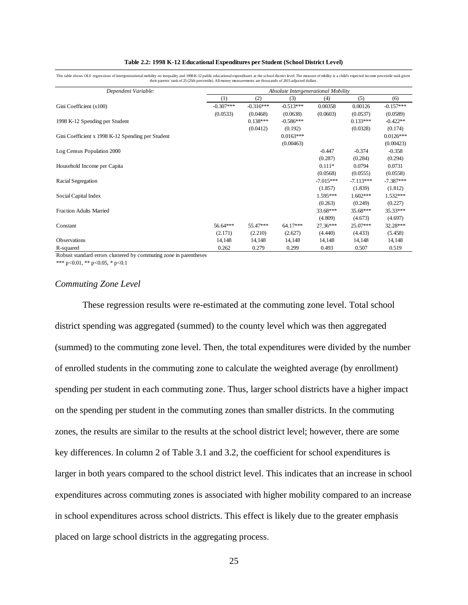|                                                   | their parents frame of $\omega$ ( $\omega$ ur percentue). An inducy measurements are thousands of $\omega$ it) adjusted domais. |             |             |                                     |             |             |  |  |  |
|---------------------------------------------------|---------------------------------------------------------------------------------------------------------------------------------|-------------|-------------|-------------------------------------|-------------|-------------|--|--|--|
| Dependent Variable:                               |                                                                                                                                 |             |             | Absolute Intergenerational Mobility |             |             |  |  |  |
|                                                   | (1)                                                                                                                             | (2)         | (3)         | (4)                                 | (5)         | (6)         |  |  |  |
| Gini Coefficient (x100)                           | $-0.307***$                                                                                                                     | $-0.316***$ | $-0.513***$ | 0.00358                             | 0.00126     | $-0.157***$ |  |  |  |
|                                                   | (0.0533)                                                                                                                        | (0.0468)    | (0.0638)    | (0.0603)                            | (0.0537)    | (0.0589)    |  |  |  |
| 1998 K-12 Spending per Student                    |                                                                                                                                 | $0.138***$  | $-0.586***$ |                                     | $0.133***$  | $-0.422**$  |  |  |  |
|                                                   |                                                                                                                                 | (0.0412)    | (0.192)     |                                     | (0.0328)    | (0.174)     |  |  |  |
| Gini Coefficient x 1998 K-12 Spending per Student |                                                                                                                                 |             | $0.0163***$ |                                     |             | $0.0126***$ |  |  |  |
|                                                   |                                                                                                                                 |             | (0.00463)   |                                     |             | (0.00423)   |  |  |  |
| Log Census Population 2000                        |                                                                                                                                 |             |             | $-0.447$                            | $-0.374$    | $-0.358$    |  |  |  |
|                                                   |                                                                                                                                 |             |             | (0.287)                             | (0.284)     | (0.294)     |  |  |  |
| Household Income per Capita                       |                                                                                                                                 |             |             | $0.111*$                            | 0.0794      | 0.0731      |  |  |  |
|                                                   |                                                                                                                                 |             |             | (0.0568)                            | (0.0555)    | (0.0558)    |  |  |  |
| Racial Segregation                                |                                                                                                                                 |             |             | $-7.015***$                         | $-7.113***$ | $-7.387***$ |  |  |  |
|                                                   |                                                                                                                                 |             |             | (1.857)                             | (1.839)     | (1.812)     |  |  |  |
| Social Capital Index                              |                                                                                                                                 |             |             | 1.595***                            | $1.602***$  | $1.532***$  |  |  |  |
|                                                   |                                                                                                                                 |             |             | (0.263)                             | (0.249)     | (0.227)     |  |  |  |
| <b>Fraction Adults Married</b>                    |                                                                                                                                 |             |             | 33.68***                            | $35.68***$  | 35.33***    |  |  |  |
|                                                   |                                                                                                                                 |             |             | (4.809)                             | (4.673)     | (4.697)     |  |  |  |
| Constant                                          | 56.64***                                                                                                                        | 55.47***    | 64.17***    | 27.36***                            | 25.07***    | 32.28***    |  |  |  |
|                                                   | (2.171)                                                                                                                         | (2.210)     | (2.627)     | (4.440)                             | (4.433)     | (5.458)     |  |  |  |
| Observations                                      | 14,148                                                                                                                          | 14,148      | 14,148      | 14,148                              | 14,148      | 14,148      |  |  |  |
| R-squared                                         | 0.262                                                                                                                           | 0.279       | 0.299       | 0.493                               | 0.507       | 0.519       |  |  |  |

This table shows OLS regressions of intergenerational mobility on inequality and 1998 K-12 public educational expenditures at the school district level. The measure of mbility is a child's expected income percentile rank g their parents' rank of 25 (25th percentile). All money measurements are thousands of 2015 adjusted dollars.

Robust standard errors clustered by commuting zone in parentheses \*\*\* p<0.01, \*\* p<0.05, \* p<0.1

#### *Commuting Zone Level*

These regression results were re-estimated at the commuting zone level. Total school district spending was aggregated (summed) to the county level which was then aggregated (summed) to the commuting zone level. Then, the total expenditures were divided by the number of enrolled students in the commuting zone to calculate the weighted average (by enrollment) spending per student in each commuting zone. Thus, larger school districts have a higher impact on the spending per student in the commuting zones than smaller districts. In the commuting zones, the results are similar to the results at the school district level; however, there are some key differences. In column 2 of Table 3.1 and 3.2, the coefficient for school expenditures is larger in both years compared to the school district level. This indicates that an increase in school expenditures across commuting zones is associated with higher mobility compared to an increase in school expenditures across school districts. This effect is likely due to the greater emphasis placed on large school districts in the aggregating process.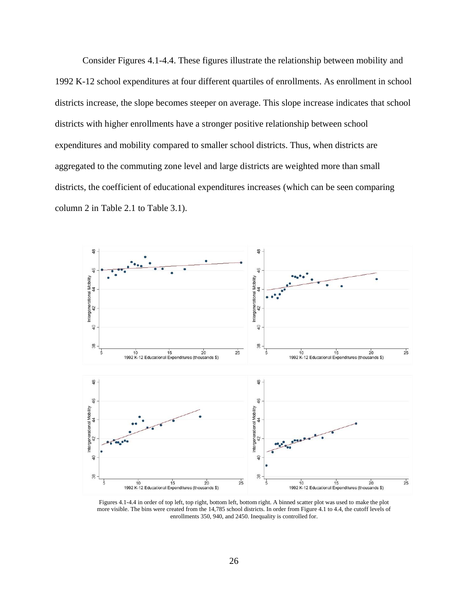Consider Figures 4.1-4.4. These figures illustrate the relationship between mobility and 1992 K-12 school expenditures at four different quartiles of enrollments. As enrollment in school districts increase, the slope becomes steeper on average. This slope increase indicates that school districts with higher enrollments have a stronger positive relationship between school expenditures and mobility compared to smaller school districts. Thus, when districts are aggregated to the commuting zone level and large districts are weighted more than small districts, the coefficient of educational expenditures increases (which can be seen comparing column 2 in Table 2.1 to Table 3.1).



Figures 4.1-4.4 in order of top left, top right, bottom left, bottom right. A binned scatter plot was used to make the plot more visible. The bins were created from the 14,785 school districts. In order from Figure 4.1 to 4.4, the cutoff levels of enrollments 350, 940, and 2450. Inequality is controlled for.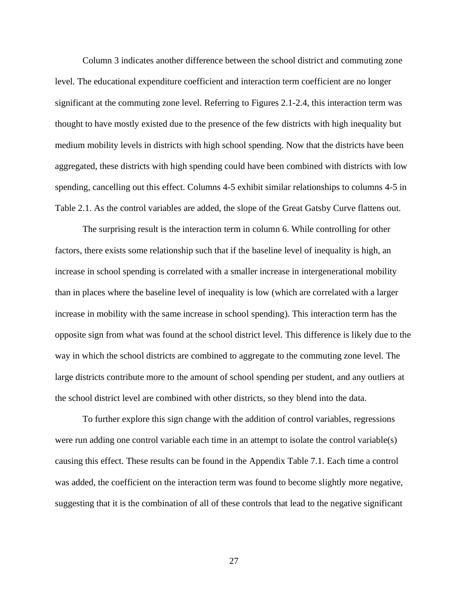Column 3 indicates another difference between the school district and commuting zone level. The educational expenditure coefficient and interaction term coefficient are no longer significant at the commuting zone level. Referring to Figures 2.1-2.4, this interaction term was thought to have mostly existed due to the presence of the few districts with high inequality but medium mobility levels in districts with high school spending. Now that the districts have been aggregated, these districts with high spending could have been combined with districts with low spending, cancelling out this effect. Columns 4-5 exhibit similar relationships to columns 4-5 in Table 2.1. As the control variables are added, the slope of the Great Gatsby Curve flattens out.

The surprising result is the interaction term in column 6. While controlling for other factors, there exists some relationship such that if the baseline level of inequality is high, an increase in school spending is correlated with a smaller increase in intergenerational mobility than in places where the baseline level of inequality is low (which are correlated with a larger increase in mobility with the same increase in school spending). This interaction term has the opposite sign from what was found at the school district level. This difference is likely due to the way in which the school districts are combined to aggregate to the commuting zone level. The large districts contribute more to the amount of school spending per student, and any outliers at the school district level are combined with other districts, so they blend into the data.

To further explore this sign change with the addition of control variables, regressions were run adding one control variable each time in an attempt to isolate the control variable(s) causing this effect. These results can be found in the Appendix Table 7.1. Each time a control was added, the coefficient on the interaction term was found to become slightly more negative, suggesting that it is the combination of all of these controls that lead to the negative significant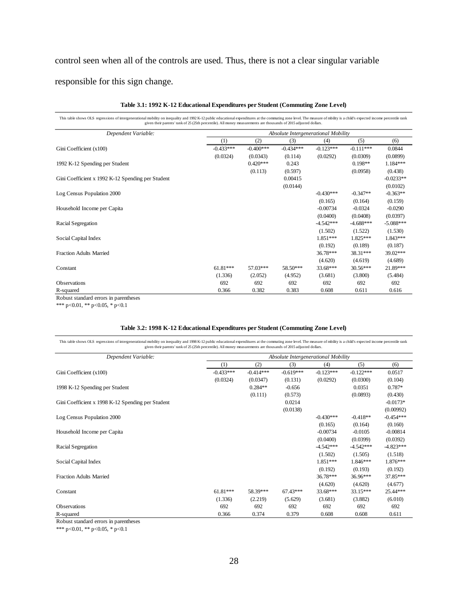## control seen when all of the controls are used. Thus, there is not a clear singular variable

responsible for this sign change.

| This table shows OLS regressions of intergenerational mobility on inequality and 1992 K-12 public educational expenditures at the commuting zone level. The measure of mbility is a child's expected income percentile rank<br>given their parents' rank of 25 (25th percentile). All money measurements are thousands of 2015 adjusted dollars. |             |             |             |             |             |             |
|--------------------------------------------------------------------------------------------------------------------------------------------------------------------------------------------------------------------------------------------------------------------------------------------------------------------------------------------------|-------------|-------------|-------------|-------------|-------------|-------------|
| Dependent Variable:<br>Absolute Intergenerational Mobility                                                                                                                                                                                                                                                                                       |             |             |             |             |             |             |
|                                                                                                                                                                                                                                                                                                                                                  | (1)         | (2)         | (3)         | (4)         | (5)         | (6)         |
| Gini Coefficient (x100)                                                                                                                                                                                                                                                                                                                          | $-0.433***$ | $-0.400***$ | $-0.434***$ | $-0.123***$ | $-0.111***$ | 0.0844      |
|                                                                                                                                                                                                                                                                                                                                                  | (0.0324)    | (0.0343)    | (0.114)     | (0.0292)    | (0.0309)    | (0.0899)    |
| 1992 K-12 Spending per Student                                                                                                                                                                                                                                                                                                                   |             | $0.420***$  | 0.243       |             | $0.198**$   | 1.184***    |
|                                                                                                                                                                                                                                                                                                                                                  |             | (0.113)     | (0.597)     |             | (0.0958)    | (0.438)     |
| Gini Coefficient x 1992 K-12 Spending per Student                                                                                                                                                                                                                                                                                                |             |             | 0.00415     |             |             | $-0.0233**$ |
|                                                                                                                                                                                                                                                                                                                                                  |             |             | (0.0144)    |             |             | (0.0102)    |
| Log Census Population 2000                                                                                                                                                                                                                                                                                                                       |             |             |             | $-0.430***$ | $-0.347**$  | $-0.363**$  |
|                                                                                                                                                                                                                                                                                                                                                  |             |             |             | (0.165)     | (0.164)     | (0.159)     |
| Household Income per Capita                                                                                                                                                                                                                                                                                                                      |             |             |             | $-0.00734$  | $-0.0324$   | $-0.0290$   |
|                                                                                                                                                                                                                                                                                                                                                  |             |             |             | (0.0400)    | (0.0408)    | (0.0397)    |
| Racial Segregation                                                                                                                                                                                                                                                                                                                               |             |             |             | $-4.542***$ | $-4.688***$ | $-5.088***$ |
|                                                                                                                                                                                                                                                                                                                                                  |             |             |             | (1.502)     | (1.522)     | (1.530)     |
| Social Capital Index                                                                                                                                                                                                                                                                                                                             |             |             |             | 1.851***    | $1.825***$  | 1.843***    |
|                                                                                                                                                                                                                                                                                                                                                  |             |             |             | (0.192)     | (0.189)     | (0.187)     |
| <b>Fraction Adults Married</b>                                                                                                                                                                                                                                                                                                                   |             |             |             | 36.78***    | 38.31***    | 39.02***    |
|                                                                                                                                                                                                                                                                                                                                                  |             |             |             | (4.620)     | (4.619)     | (4.689)     |
| Constant                                                                                                                                                                                                                                                                                                                                         | $61.81***$  | 57.03***    | 58.50***    | 33.68***    | 30.56***    | 21.89***    |
|                                                                                                                                                                                                                                                                                                                                                  | (1.336)     | (2.052)     | (4.952)     | (3.681)     | (3.800)     | (5.484)     |
| <b>Observations</b>                                                                                                                                                                                                                                                                                                                              | 692         | 692         | 692         | 692         | 692         | 692         |
| R-squared                                                                                                                                                                                                                                                                                                                                        | 0.366       | 0.382       | 0.383       | 0.608       | 0.611       | 0.616       |

#### **Table 3.1: 1992 K-12 Educational Expenditures per Student (Commuting Zone Level)**

Robust standard errors in parentheses

\*\*\* p<0.01, \*\* p<0.05, \* p<0.1

#### **Table 3.2: 1998 K-12 Educational Expenditures per Student (Commuting Zone Level)**

This table shows OLS regressions of intergenerational mobility on inequality and 1998 K-12 public educational expenditures at the commuting zone level. The measure of mbility is a child's expected income percentile rank<br>gi

| Dependent Variable:                               | Absolute Intergenerational Mobility |             |             |             |             |             |  |  |  |
|---------------------------------------------------|-------------------------------------|-------------|-------------|-------------|-------------|-------------|--|--|--|
|                                                   | (1)                                 | (2)         | (3)         | (4)         | (5)         | (6)         |  |  |  |
| Gini Coefficient $(x100)$                         | $-0.433***$                         | $-0.414***$ | $-0.619***$ | $-0.123***$ | $-0.122***$ | 0.0517      |  |  |  |
|                                                   | (0.0324)                            | (0.0347)    | (0.131)     | (0.0292)    | (0.0300)    | (0.104)     |  |  |  |
| 1998 K-12 Spending per Student                    |                                     | $0.284**$   | $-0.656$    |             | 0.0351      | $0.787*$    |  |  |  |
|                                                   |                                     | (0.111)     | (0.573)     |             | (0.0893)    | (0.430)     |  |  |  |
| Gini Coefficient x 1998 K-12 Spending per Student |                                     |             | 0.0214      |             |             | $-0.0173*$  |  |  |  |
|                                                   |                                     |             | (0.0138)    |             |             | (0.00992)   |  |  |  |
| Log Census Population 2000                        |                                     |             |             | $-0.430***$ | $-0.418**$  | $-0.454***$ |  |  |  |
|                                                   |                                     |             |             | (0.165)     | (0.164)     | (0.160)     |  |  |  |
| Household Income per Capita                       |                                     |             |             | $-0.00734$  | $-0.0105$   | $-0.00814$  |  |  |  |
|                                                   |                                     |             |             | (0.0400)    | (0.0399)    | (0.0392)    |  |  |  |
| Racial Segregation                                |                                     |             |             | $-4.542***$ | $-4.542***$ | $-4.823***$ |  |  |  |
|                                                   |                                     |             |             | (1.502)     | (1.505)     | (1.518)     |  |  |  |
| Social Capital Index                              |                                     |             |             | 1.851***    | 1.846***    | 1.876***    |  |  |  |
|                                                   |                                     |             |             | (0.192)     | (0.193)     | (0.192)     |  |  |  |
| <b>Fraction Adults Married</b>                    |                                     |             |             | $36.78***$  | $36.96***$  | 37.85***    |  |  |  |
|                                                   |                                     |             |             | (4.620)     | (4.620)     | (4.677)     |  |  |  |
| Constant                                          | $61.81***$                          | 58.39***    | $67.43***$  | 33.68***    | 33.15***    | 25.44***    |  |  |  |
|                                                   | (1.336)                             | (2.219)     | (5.629)     | (3.681)     | (3.882)     | (6.010)     |  |  |  |
| <b>Observations</b>                               | 692                                 | 692         | 692         | 692         | 692         | 692         |  |  |  |
| R-squared                                         | 0.366                               | 0.374       | 0.379       | 0.608       | 0.608       | 0.611       |  |  |  |

Robust standard errors in parentheses

\*\*\* p<0.01, \*\* p<0.05, \* p<0.1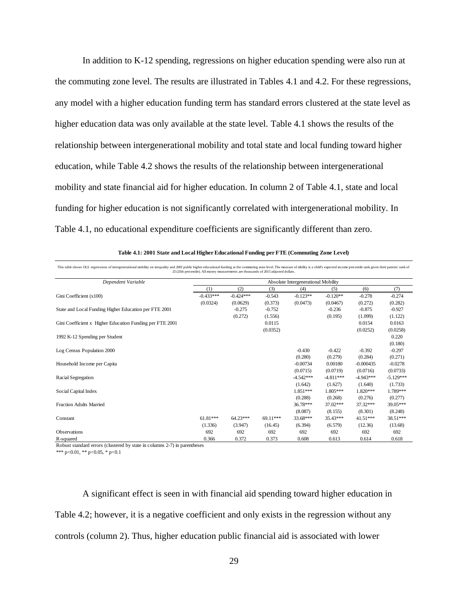In addition to K-12 spending, regressions on higher education spending were also run at the commuting zone level. The results are illustrated in Tables 4.1 and 4.2. For these regressions, any model with a higher education funding term has standard errors clustered at the state level as higher education data was only available at the state level. Table 4.1 shows the results of the relationship between intergenerational mobility and total state and local funding toward higher education, while Table 4.2 shows the results of the relationship between intergenerational mobility and state financial aid for higher education. In column 2 of Table 4.1, state and local funding for higher education is not significantly correlated with intergenerational mobility. In Table 4.1, no educational expenditure coefficients are significantly different than zero.

| 25 (25th percentile). All money measurements are thousands of 2015 adjusted dollars. |             |             |          |                                     |             |             |             |
|--------------------------------------------------------------------------------------|-------------|-------------|----------|-------------------------------------|-------------|-------------|-------------|
| Dependent Variable                                                                   |             |             |          | Absolute Intergenerational Mobility |             |             |             |
|                                                                                      | (1)         | (2)         | (3)      | (4)                                 | (5)         | (6)         | (7)         |
| Gini Coefficient (x100)                                                              | $-0.433***$ | $-0.424***$ | $-0.543$ | $-0.123**$                          | $-0.120**$  | $-0.278$    | $-0.274$    |
|                                                                                      | (0.0324)    | (0.0629)    | (0.373)  | (0.0473)                            | (0.0467)    | (0.272)     | (0.282)     |
| State and Local Funding Higher Education per FTE 2001                                |             | $-0.275$    | $-0.752$ |                                     | $-0.236$    | $-0.875$    | $-0.927$    |
|                                                                                      |             | (0.272)     | (1.556)  |                                     | (0.195)     | (1.099)     | (1.122)     |
| Gini Coefficient x Higher Education Funding per FTE 2001                             |             |             | 0.0115   |                                     |             | 0.0154      | 0.0163      |
|                                                                                      |             |             | (0.0352) |                                     |             | (0.0252)    | (0.0258)    |
| 1992 K-12 Spending per Student                                                       |             |             |          |                                     |             |             | 0.220       |
|                                                                                      |             |             |          |                                     |             |             | (0.180)     |
| Log Census Population 2000                                                           |             |             |          | $-0.430$                            | $-0.422$    | $-0.392$    | $-0.297$    |
|                                                                                      |             |             |          | (0.280)                             | (0.279)     | (0.284)     | (0.271)     |
| Household Income per Capita                                                          |             |             |          | $-0.00734$                          | 0.00180     | $-0.000435$ | $-0.0278$   |
|                                                                                      |             |             |          | (0.0715)                            | (0.0719)    | (0.0716)    | (0.0733)    |
| Racial Segregation                                                                   |             |             |          | $-4.542***$                         | $-4.811***$ | $-4.943***$ | $-5.129***$ |
|                                                                                      |             |             |          | (1.642)                             | (1.627)     | (1.640)     | (1.733)     |
| Social Capital Index                                                                 |             |             |          | 1.851***                            | 1.805***    | $1.820***$  | 1.789***    |
|                                                                                      |             |             |          | (0.288)                             | (0.268)     | (0.276)     | (0.277)     |
| <b>Fraction Adults Married</b>                                                       |             |             |          | 36.78***                            | 37.02***    | 37.32***    | 39.05***    |
|                                                                                      |             |             |          | (8.087)                             | (8.155)     | (8.301)     | (8.248)     |
| Constant                                                                             | 61.81***    | 64.23***    | 69.11*** | 33.68***                            | 35.43***    | $41.51***$  | 38.51***    |
|                                                                                      | (1.336)     | (3.947)     | (16.45)  | (6.394)                             | (6.579)     | (12.36)     | (13.68)     |
| <b>Observations</b>                                                                  | 692         | 692         | 692      | 692                                 | 692         | 692         | 692         |
| R-squared                                                                            | 0.366       | 0.372       | 0.373    | 0.608                               | 0.613       | 0.614       | 0.618       |

This table shows OLS regressions of intergenerational mobility on inequality and 2001 public higher educational funding at the commuting zone level. The measure of mbility is a child's expected income percentile rank given **Table 4.1: 2001 State and Local Higher Educational Funding per FTE (Commuting Zone Level)**

Robust standard errors (clustered by state in columns 2-7) in parentheses

\*\*\* p<0.01, \*\* p<0.05, \* p<0.1

A significant effect is seen in with financial aid spending toward higher education in Table 4.2; however, it is a negative coefficient and only exists in the regression without any controls (column 2). Thus, higher education public financial aid is associated with lower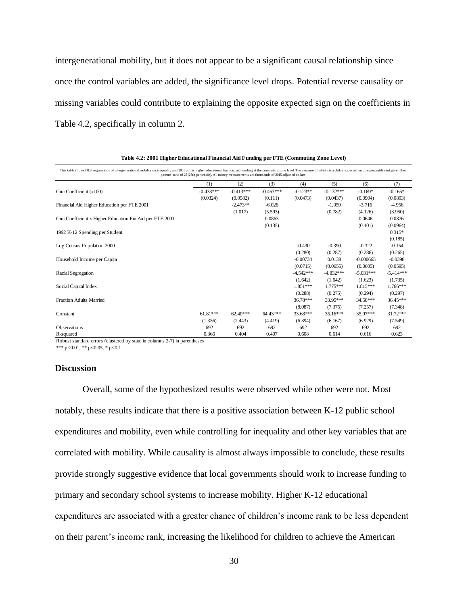intergenerational mobility, but it does not appear to be a significant causal relationship since once the control variables are added, the significance level drops. Potential reverse causality or missing variables could contribute to explaining the opposite expected sign on the coefficients in Table 4.2, specifically in column 2.

| This table shows OLS regressions of intergenerational mobility on inequality and 2001 public higher educational financial aid funding at the commuting zone level. The measure of mbility is a child's expected income percent | parents' rank of 25 (25th percentile). All money measurements are thousands of 2015 adjusted dollars. |             |             |             |             |             |             |
|--------------------------------------------------------------------------------------------------------------------------------------------------------------------------------------------------------------------------------|-------------------------------------------------------------------------------------------------------|-------------|-------------|-------------|-------------|-------------|-------------|
|                                                                                                                                                                                                                                | (1)                                                                                                   | (2)         | (3)         | (4)         | (5)         | (6)         | (7)         |
| Gini Coefficient (x100)                                                                                                                                                                                                        | $-0.433***$                                                                                           | $-0.413***$ | $-0.463***$ | $-0.123**$  | $-0.132***$ | $-0.169*$   | $-0.165*$   |
|                                                                                                                                                                                                                                | (0.0324)                                                                                              | (0.0582)    | (0.111)     | (0.0473)    | (0.0437)    | (0.0904)    | (0.0893)    |
| Financial Aid Higher Education per FTE 2001                                                                                                                                                                                    |                                                                                                       | $-2.473**$  | $-6.026$    |             | $-1.059$    | $-3.716$    | $-4.956$    |
|                                                                                                                                                                                                                                |                                                                                                       | (1.017)     | (5.593)     |             | (0.782)     | (4.126)     | (3.950)     |
| Gini Coefficient x Higher Education Fin Aid per FTE 2001                                                                                                                                                                       |                                                                                                       |             | 0.0863      |             |             | 0.0646      | 0.0876      |
|                                                                                                                                                                                                                                |                                                                                                       |             | (0.135)     |             |             | (0.101)     | (0.0964)    |
| 1992 K-12 Spending per Student                                                                                                                                                                                                 |                                                                                                       |             |             |             |             |             | $0.315*$    |
|                                                                                                                                                                                                                                |                                                                                                       |             |             |             |             |             | (0.185)     |
| Log Census Population 2000                                                                                                                                                                                                     |                                                                                                       |             |             | $-0.430$    | $-0.390$    | $-0.322$    | $-0.154$    |
|                                                                                                                                                                                                                                |                                                                                                       |             |             | (0.280)     | (0.287)     | (0.286)     | (0.265)     |
| Household Income per Capita                                                                                                                                                                                                    |                                                                                                       |             |             | $-0.00734$  | 0.0138      | $-0.000665$ | $-0.0398$   |
|                                                                                                                                                                                                                                |                                                                                                       |             |             | (0.0715)    | (0.0655)    | (0.0605)    | (0.0595)    |
| Racial Segregation                                                                                                                                                                                                             |                                                                                                       |             |             | $-4.542***$ | $-4.832***$ | $-5.031***$ | $-5.414***$ |
|                                                                                                                                                                                                                                |                                                                                                       |             |             | (1.642)     | (1.642)     | (1.623)     | (1.735)     |
| Social Capital Index                                                                                                                                                                                                           |                                                                                                       |             |             | 1.851***    | 1.775***    | 1.815***    | 1.766***    |
|                                                                                                                                                                                                                                |                                                                                                       |             |             | (0.288)     | (0.275)     | (0.294)     | (0.297)     |
| <b>Fraction Adults Married</b>                                                                                                                                                                                                 |                                                                                                       |             |             | 36.78***    | 33.95***    | 34.58***    | 36.45***    |
|                                                                                                                                                                                                                                |                                                                                                       |             |             | (8.087)     | (7.375)     | (7.257)     | (7.348)     |
| Constant                                                                                                                                                                                                                       | $61.81***$                                                                                            | $62.40***$  | 64.43***    | 33.68***    | $35.16***$  | 35.97***    | 31.72***    |
|                                                                                                                                                                                                                                | (1.336)                                                                                               | (2.443)     | (4.419)     | (6.394)     | (6.167)     | (6.929)     | (7.549)     |
| <b>Observations</b>                                                                                                                                                                                                            | 692                                                                                                   | 692         | 692         | 692         | 692         | 692         | 692         |
| R-squared                                                                                                                                                                                                                      | 0.366                                                                                                 | 0.404       | 0.407       | 0.608       | 0.614       | 0.616       | 0.623       |

**Table 4.2: 2001 Higher Educational Financial Aid Funding per FTE (Commuting Zone Level)**

Robust standard errors (clustered by state in columns 2-7) in parentheses

\*\*\* p<0.01, \*\* p<0.05, \* p<0.1

#### **Discussion**

Overall, some of the hypothesized results were observed while other were not. Most notably, these results indicate that there is a positive association between K-12 public school expenditures and mobility, even while controlling for inequality and other key variables that are correlated with mobility. While causality is almost always impossible to conclude, these results provide strongly suggestive evidence that local governments should work to increase funding to primary and secondary school systems to increase mobility. Higher K-12 educational expenditures are associated with a greater chance of children's income rank to be less dependent on their parent's income rank, increasing the likelihood for children to achieve the American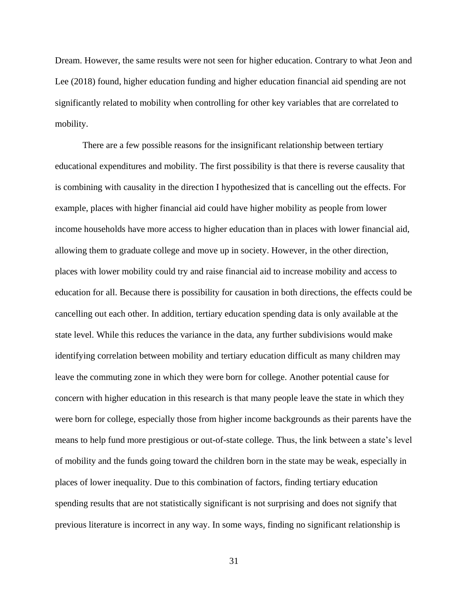Dream. However, the same results were not seen for higher education. Contrary to what Jeon and Lee (2018) found, higher education funding and higher education financial aid spending are not significantly related to mobility when controlling for other key variables that are correlated to mobility.

There are a few possible reasons for the insignificant relationship between tertiary educational expenditures and mobility. The first possibility is that there is reverse causality that is combining with causality in the direction I hypothesized that is cancelling out the effects. For example, places with higher financial aid could have higher mobility as people from lower income households have more access to higher education than in places with lower financial aid, allowing them to graduate college and move up in society. However, in the other direction, places with lower mobility could try and raise financial aid to increase mobility and access to education for all. Because there is possibility for causation in both directions, the effects could be cancelling out each other. In addition, tertiary education spending data is only available at the state level. While this reduces the variance in the data, any further subdivisions would make identifying correlation between mobility and tertiary education difficult as many children may leave the commuting zone in which they were born for college. Another potential cause for concern with higher education in this research is that many people leave the state in which they were born for college, especially those from higher income backgrounds as their parents have the means to help fund more prestigious or out-of-state college. Thus, the link between a state's level of mobility and the funds going toward the children born in the state may be weak, especially in places of lower inequality. Due to this combination of factors, finding tertiary education spending results that are not statistically significant is not surprising and does not signify that previous literature is incorrect in any way. In some ways, finding no significant relationship is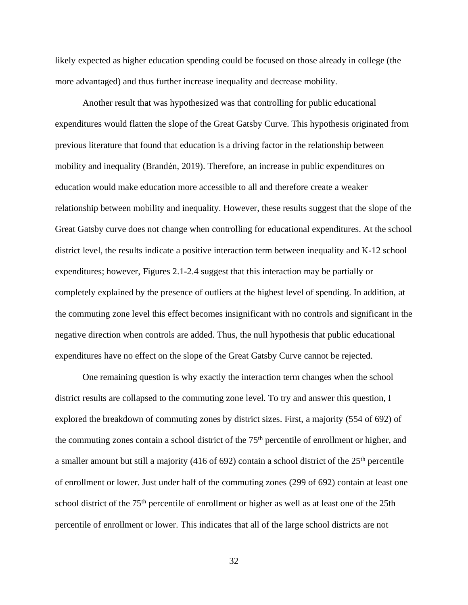likely expected as higher education spending could be focused on those already in college (the more advantaged) and thus further increase inequality and decrease mobility.

Another result that was hypothesized was that controlling for public educational expenditures would flatten the slope of the Great Gatsby Curve. This hypothesis originated from previous literature that found that education is a driving factor in the relationship between mobility and inequality (Brandén, 2019). Therefore, an increase in public expenditures on education would make education more accessible to all and therefore create a weaker relationship between mobility and inequality. However, these results suggest that the slope of the Great Gatsby curve does not change when controlling for educational expenditures. At the school district level, the results indicate a positive interaction term between inequality and K-12 school expenditures; however, Figures 2.1-2.4 suggest that this interaction may be partially or completely explained by the presence of outliers at the highest level of spending. In addition, at the commuting zone level this effect becomes insignificant with no controls and significant in the negative direction when controls are added. Thus, the null hypothesis that public educational expenditures have no effect on the slope of the Great Gatsby Curve cannot be rejected.

One remaining question is why exactly the interaction term changes when the school district results are collapsed to the commuting zone level. To try and answer this question, I explored the breakdown of commuting zones by district sizes. First, a majority (554 of 692) of the commuting zones contain a school district of the 75<sup>th</sup> percentile of enrollment or higher, and a smaller amount but still a majority (416 of 692) contain a school district of the  $25<sup>th</sup>$  percentile of enrollment or lower. Just under half of the commuting zones (299 of 692) contain at least one school district of the 75<sup>th</sup> percentile of enrollment or higher as well as at least one of the 25th percentile of enrollment or lower. This indicates that all of the large school districts are not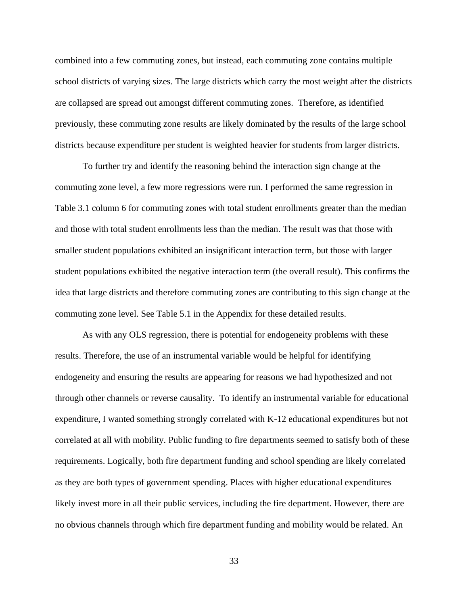combined into a few commuting zones, but instead, each commuting zone contains multiple school districts of varying sizes. The large districts which carry the most weight after the districts are collapsed are spread out amongst different commuting zones. Therefore, as identified previously, these commuting zone results are likely dominated by the results of the large school districts because expenditure per student is weighted heavier for students from larger districts.

To further try and identify the reasoning behind the interaction sign change at the commuting zone level, a few more regressions were run. I performed the same regression in Table 3.1 column 6 for commuting zones with total student enrollments greater than the median and those with total student enrollments less than the median. The result was that those with smaller student populations exhibited an insignificant interaction term, but those with larger student populations exhibited the negative interaction term (the overall result). This confirms the idea that large districts and therefore commuting zones are contributing to this sign change at the commuting zone level. See Table 5.1 in the Appendix for these detailed results.

As with any OLS regression, there is potential for endogeneity problems with these results. Therefore, the use of an instrumental variable would be helpful for identifying endogeneity and ensuring the results are appearing for reasons we had hypothesized and not through other channels or reverse causality. To identify an instrumental variable for educational expenditure, I wanted something strongly correlated with K-12 educational expenditures but not correlated at all with mobility. Public funding to fire departments seemed to satisfy both of these requirements. Logically, both fire department funding and school spending are likely correlated as they are both types of government spending. Places with higher educational expenditures likely invest more in all their public services, including the fire department. However, there are no obvious channels through which fire department funding and mobility would be related. An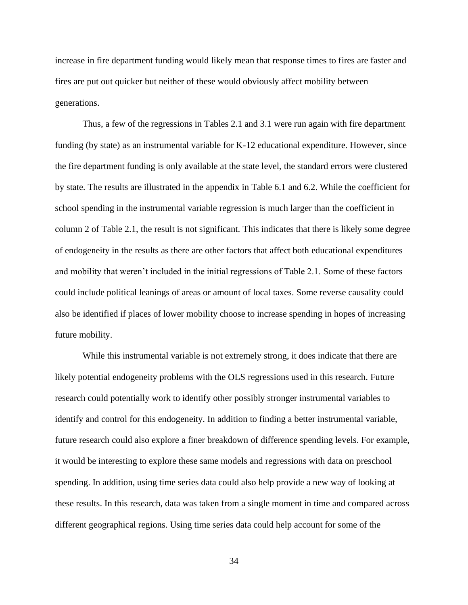increase in fire department funding would likely mean that response times to fires are faster and fires are put out quicker but neither of these would obviously affect mobility between generations.

Thus, a few of the regressions in Tables 2.1 and 3.1 were run again with fire department funding (by state) as an instrumental variable for K-12 educational expenditure. However, since the fire department funding is only available at the state level, the standard errors were clustered by state. The results are illustrated in the appendix in Table 6.1 and 6.2. While the coefficient for school spending in the instrumental variable regression is much larger than the coefficient in column 2 of Table 2.1, the result is not significant. This indicates that there is likely some degree of endogeneity in the results as there are other factors that affect both educational expenditures and mobility that weren't included in the initial regressions of Table 2.1. Some of these factors could include political leanings of areas or amount of local taxes. Some reverse causality could also be identified if places of lower mobility choose to increase spending in hopes of increasing future mobility.

While this instrumental variable is not extremely strong, it does indicate that there are likely potential endogeneity problems with the OLS regressions used in this research. Future research could potentially work to identify other possibly stronger instrumental variables to identify and control for this endogeneity. In addition to finding a better instrumental variable, future research could also explore a finer breakdown of difference spending levels. For example, it would be interesting to explore these same models and regressions with data on preschool spending. In addition, using time series data could also help provide a new way of looking at these results. In this research, data was taken from a single moment in time and compared across different geographical regions. Using time series data could help account for some of the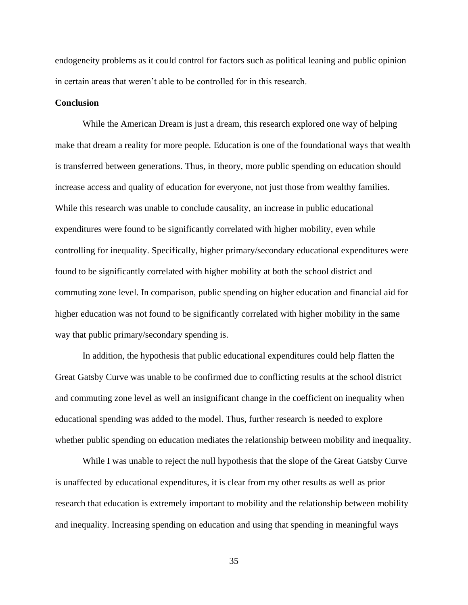endogeneity problems as it could control for factors such as political leaning and public opinion in certain areas that weren't able to be controlled for in this research.

#### **Conclusion**

While the American Dream is just a dream, this research explored one way of helping make that dream a reality for more people. Education is one of the foundational ways that wealth is transferred between generations. Thus, in theory, more public spending on education should increase access and quality of education for everyone, not just those from wealthy families. While this research was unable to conclude causality, an increase in public educational expenditures were found to be significantly correlated with higher mobility, even while controlling for inequality. Specifically, higher primary/secondary educational expenditures were found to be significantly correlated with higher mobility at both the school district and commuting zone level. In comparison, public spending on higher education and financial aid for higher education was not found to be significantly correlated with higher mobility in the same way that public primary/secondary spending is.

In addition, the hypothesis that public educational expenditures could help flatten the Great Gatsby Curve was unable to be confirmed due to conflicting results at the school district and commuting zone level as well an insignificant change in the coefficient on inequality when educational spending was added to the model. Thus, further research is needed to explore whether public spending on education mediates the relationship between mobility and inequality.

While I was unable to reject the null hypothesis that the slope of the Great Gatsby Curve is unaffected by educational expenditures, it is clear from my other results as well as prior research that education is extremely important to mobility and the relationship between mobility and inequality. Increasing spending on education and using that spending in meaningful ways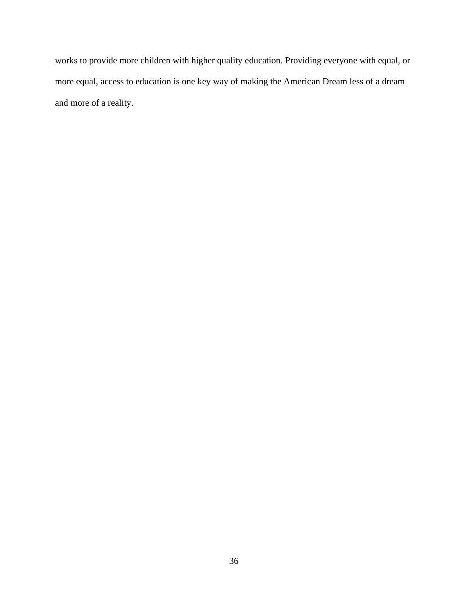works to provide more children with higher quality education. Providing everyone with equal, or more equal, access to education is one key way of making the American Dream less of a dream and more of a reality.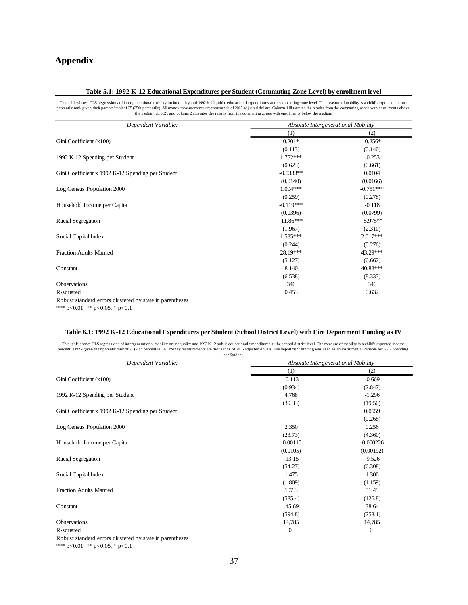# **Appendix**

#### **Table 5.1: 1992 K-12 Educational Expenditures per Student (Commuting Zone Level) by enrollment level**

This table shows OLS regressions of intergenerational mobility on inequality and 1992 K-12 public educational expenditures at the commuting zone level. The measure of mobility is a child's expected income percentile rank g

| Dependent Variable:                               | Absolute Intergenerational Mobility |             |  |  |
|---------------------------------------------------|-------------------------------------|-------------|--|--|
|                                                   | (1)                                 | (2)         |  |  |
| Gini Coefficient (x100)                           | $0.201*$                            | $-0.256*$   |  |  |
|                                                   | (0.113)                             | (0.140)     |  |  |
| 1992 K-12 Spending per Student                    | 1.752***                            | $-0.253$    |  |  |
|                                                   | (0.623)                             | (0.661)     |  |  |
| Gini Coefficient x 1992 K-12 Spending per Student | $-0.0333**$                         | 0.0104      |  |  |
|                                                   | (0.0140)                            | (0.0166)    |  |  |
| Log Census Population 2000                        | $1.004***$                          | $-0.751***$ |  |  |
|                                                   | (0.259)                             | (0.278)     |  |  |
| Household Income per Capita                       | $-0.119***$                         | $-0.118$    |  |  |
|                                                   | (0.0396)                            | (0.0799)    |  |  |
| Racial Segregation                                | $-11.86***$                         | $-5.975**$  |  |  |
|                                                   | (1.967)                             | (2.310)     |  |  |
| Social Capital Index                              | $1.535***$                          | $2.017***$  |  |  |
|                                                   | (0.244)                             | (0.276)     |  |  |
| <b>Fraction Adults Married</b>                    | 28.19***                            | 43.29***    |  |  |
|                                                   | (5.127)                             | (6.662)     |  |  |
| Constant                                          | 8.140                               | 40.88***    |  |  |
|                                                   | (6.538)                             | (8.333)     |  |  |
| Observations                                      | 346                                 | 346         |  |  |
| R-squared                                         | 0.453                               | 0.632       |  |  |

Robust standard errors clustered by state in parentheses

\*\*\* p<0.01, \*\* p<0.05, \* p<0.1

#### **Table 6.1: 1992 K-12 Educational Expenditures per Student (School District Level) with Fire Department Funding as IV**

| This table shows OLS regressions of intergenerational mobility on inequality and 1992 K-12 public educational expenditures at the school district level. The measure of mobility is a child's expected income<br>percentile rank given their parents' rank of 25 (25th percentile). All money measurements are thousands of 2015 adjusted dollars. Fire department funding was used as an instrumental variable for K-12 Spending | per Student.                        |             |  |  |
|-----------------------------------------------------------------------------------------------------------------------------------------------------------------------------------------------------------------------------------------------------------------------------------------------------------------------------------------------------------------------------------------------------------------------------------|-------------------------------------|-------------|--|--|
| Dependent Variable:                                                                                                                                                                                                                                                                                                                                                                                                               | Absolute Intergenerational Mobility |             |  |  |
|                                                                                                                                                                                                                                                                                                                                                                                                                                   | (1)                                 | (2)         |  |  |
| Gini Coefficient (x100)                                                                                                                                                                                                                                                                                                                                                                                                           | $-0.113$                            | $-0.669$    |  |  |
|                                                                                                                                                                                                                                                                                                                                                                                                                                   | (0.934)                             | (2.847)     |  |  |
| 1992 K-12 Spending per Student                                                                                                                                                                                                                                                                                                                                                                                                    | 4.768                               | $-1.296$    |  |  |
|                                                                                                                                                                                                                                                                                                                                                                                                                                   | (39.33)                             | (19.50)     |  |  |
| Gini Coefficient x 1992 K-12 Spending per Student                                                                                                                                                                                                                                                                                                                                                                                 |                                     | 0.0559      |  |  |
|                                                                                                                                                                                                                                                                                                                                                                                                                                   |                                     | (0.268)     |  |  |
| Log Census Population 2000                                                                                                                                                                                                                                                                                                                                                                                                        | 2.350                               | 0.256       |  |  |
|                                                                                                                                                                                                                                                                                                                                                                                                                                   | (23.73)                             | (4.360)     |  |  |
| Household Income per Capita                                                                                                                                                                                                                                                                                                                                                                                                       | $-0.00115$                          | $-0.000226$ |  |  |
|                                                                                                                                                                                                                                                                                                                                                                                                                                   | (0.0105)                            | (0.00192)   |  |  |
| Racial Segregation                                                                                                                                                                                                                                                                                                                                                                                                                | $-13.15$                            | $-9.526$    |  |  |
|                                                                                                                                                                                                                                                                                                                                                                                                                                   | (54.27)                             | (6.308)     |  |  |
| Social Capital Index                                                                                                                                                                                                                                                                                                                                                                                                              | 1.475                               | 1.300       |  |  |
|                                                                                                                                                                                                                                                                                                                                                                                                                                   | (1.809)                             | (1.159)     |  |  |
| <b>Fraction Adults Married</b>                                                                                                                                                                                                                                                                                                                                                                                                    | 107.3                               | 51.49       |  |  |
|                                                                                                                                                                                                                                                                                                                                                                                                                                   | (585.4)                             | (126.8)     |  |  |
| Constant                                                                                                                                                                                                                                                                                                                                                                                                                          | $-45.69$                            | 38.64       |  |  |
|                                                                                                                                                                                                                                                                                                                                                                                                                                   | (594.8)                             | (258.1)     |  |  |
| <b>Observations</b>                                                                                                                                                                                                                                                                                                                                                                                                               | 14,785                              | 14,785      |  |  |
| R-squared                                                                                                                                                                                                                                                                                                                                                                                                                         | $\boldsymbol{0}$                    | 0           |  |  |

Robust standard errors clustered by state in parentheses

\*\*\* p<0.01, \*\* p<0.05, \* p<0.1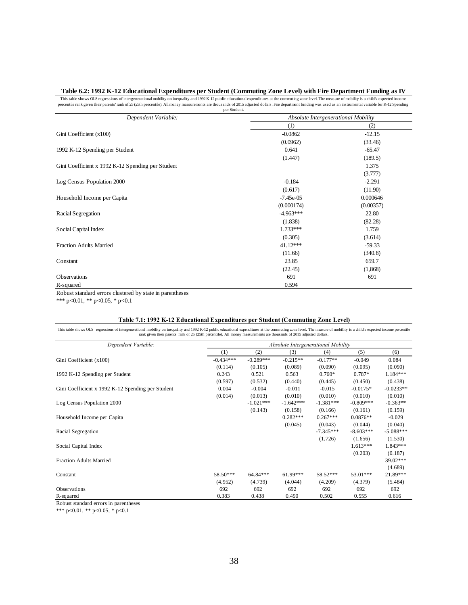#### **Table 6.2: 1992 K-12 Educational Expenditures per Student (Commuting Zone Level) with Fire Department Funding as IV**

This table shows OLS regressions of intergenerational mobility on inequality and 1992 K-12 public educational expenditures at the commuting zone level. The measure of mobility is a child's expected income<br>percentile rank g per Student.

|                              | (1)<br>$-0.0862$<br>(0.0962)<br>0.641<br>(1.447)<br>$-0.184$<br>(0.617)<br>$-7.45e-05$<br>(0.000174)<br>$-4.963***$<br>(1.838)<br>$1.733***$<br>(0.305)<br>41.12*** | Absolute Intergenerational Mobility                                                     | (2)<br>$-12.15$<br>(33.46)<br>$-65.47$<br>(189.5)<br>1.375<br>(3.777)<br>$-2.291$<br>(11.90)<br>0.000646<br>(0.00357)<br>22.80<br>(82.28)<br>1.759<br>(3.614)                                        |                                                                                                                                                                                                                                                                                                                                                                                                                                         |
|------------------------------|---------------------------------------------------------------------------------------------------------------------------------------------------------------------|-----------------------------------------------------------------------------------------|------------------------------------------------------------------------------------------------------------------------------------------------------------------------------------------------------|-----------------------------------------------------------------------------------------------------------------------------------------------------------------------------------------------------------------------------------------------------------------------------------------------------------------------------------------------------------------------------------------------------------------------------------------|
|                              |                                                                                                                                                                     |                                                                                         |                                                                                                                                                                                                      |                                                                                                                                                                                                                                                                                                                                                                                                                                         |
|                              |                                                                                                                                                                     |                                                                                         |                                                                                                                                                                                                      |                                                                                                                                                                                                                                                                                                                                                                                                                                         |
|                              |                                                                                                                                                                     |                                                                                         |                                                                                                                                                                                                      |                                                                                                                                                                                                                                                                                                                                                                                                                                         |
|                              |                                                                                                                                                                     |                                                                                         |                                                                                                                                                                                                      |                                                                                                                                                                                                                                                                                                                                                                                                                                         |
|                              |                                                                                                                                                                     |                                                                                         |                                                                                                                                                                                                      |                                                                                                                                                                                                                                                                                                                                                                                                                                         |
|                              |                                                                                                                                                                     |                                                                                         |                                                                                                                                                                                                      |                                                                                                                                                                                                                                                                                                                                                                                                                                         |
|                              |                                                                                                                                                                     |                                                                                         |                                                                                                                                                                                                      |                                                                                                                                                                                                                                                                                                                                                                                                                                         |
|                              |                                                                                                                                                                     |                                                                                         |                                                                                                                                                                                                      |                                                                                                                                                                                                                                                                                                                                                                                                                                         |
|                              |                                                                                                                                                                     |                                                                                         |                                                                                                                                                                                                      |                                                                                                                                                                                                                                                                                                                                                                                                                                         |
|                              |                                                                                                                                                                     |                                                                                         |                                                                                                                                                                                                      |                                                                                                                                                                                                                                                                                                                                                                                                                                         |
|                              |                                                                                                                                                                     |                                                                                         |                                                                                                                                                                                                      |                                                                                                                                                                                                                                                                                                                                                                                                                                         |
|                              |                                                                                                                                                                     |                                                                                         |                                                                                                                                                                                                      |                                                                                                                                                                                                                                                                                                                                                                                                                                         |
|                              |                                                                                                                                                                     |                                                                                         |                                                                                                                                                                                                      |                                                                                                                                                                                                                                                                                                                                                                                                                                         |
|                              |                                                                                                                                                                     |                                                                                         |                                                                                                                                                                                                      |                                                                                                                                                                                                                                                                                                                                                                                                                                         |
|                              |                                                                                                                                                                     |                                                                                         |                                                                                                                                                                                                      |                                                                                                                                                                                                                                                                                                                                                                                                                                         |
|                              |                                                                                                                                                                     |                                                                                         |                                                                                                                                                                                                      |                                                                                                                                                                                                                                                                                                                                                                                                                                         |
|                              |                                                                                                                                                                     |                                                                                         | $-59.33$                                                                                                                                                                                             |                                                                                                                                                                                                                                                                                                                                                                                                                                         |
|                              | (11.66)                                                                                                                                                             |                                                                                         | (340.8)                                                                                                                                                                                              |                                                                                                                                                                                                                                                                                                                                                                                                                                         |
|                              | 23.85                                                                                                                                                               |                                                                                         | 659.7                                                                                                                                                                                                |                                                                                                                                                                                                                                                                                                                                                                                                                                         |
|                              | (22.45)                                                                                                                                                             |                                                                                         | (1,868)                                                                                                                                                                                              |                                                                                                                                                                                                                                                                                                                                                                                                                                         |
|                              |                                                                                                                                                                     |                                                                                         |                                                                                                                                                                                                      |                                                                                                                                                                                                                                                                                                                                                                                                                                         |
|                              |                                                                                                                                                                     |                                                                                         |                                                                                                                                                                                                      |                                                                                                                                                                                                                                                                                                                                                                                                                                         |
|                              |                                                                                                                                                                     |                                                                                         |                                                                                                                                                                                                      |                                                                                                                                                                                                                                                                                                                                                                                                                                         |
|                              |                                                                                                                                                                     |                                                                                         |                                                                                                                                                                                                      |                                                                                                                                                                                                                                                                                                                                                                                                                                         |
|                              |                                                                                                                                                                     |                                                                                         |                                                                                                                                                                                                      |                                                                                                                                                                                                                                                                                                                                                                                                                                         |
|                              |                                                                                                                                                                     |                                                                                         |                                                                                                                                                                                                      | (6)                                                                                                                                                                                                                                                                                                                                                                                                                                     |
|                              |                                                                                                                                                                     |                                                                                         |                                                                                                                                                                                                      | 0.084<br>(0.090)                                                                                                                                                                                                                                                                                                                                                                                                                        |
|                              |                                                                                                                                                                     |                                                                                         |                                                                                                                                                                                                      | 1.184***                                                                                                                                                                                                                                                                                                                                                                                                                                |
|                              |                                                                                                                                                                     |                                                                                         |                                                                                                                                                                                                      | (0.438)                                                                                                                                                                                                                                                                                                                                                                                                                                 |
|                              |                                                                                                                                                                     |                                                                                         |                                                                                                                                                                                                      | $-0.0233**$                                                                                                                                                                                                                                                                                                                                                                                                                             |
| (0.014)                      |                                                                                                                                                                     |                                                                                         |                                                                                                                                                                                                      | (0.010)                                                                                                                                                                                                                                                                                                                                                                                                                                 |
| $-1.021***$                  | $-1.642***$                                                                                                                                                         | $-1.381***$                                                                             | $-0.809***$                                                                                                                                                                                          | $-0.363**$                                                                                                                                                                                                                                                                                                                                                                                                                              |
| (0.143)                      | (0.158)                                                                                                                                                             | (0.166)                                                                                 | (0.161)                                                                                                                                                                                              | (0.159)                                                                                                                                                                                                                                                                                                                                                                                                                                 |
|                              | $0.282***$                                                                                                                                                          | $0.267***$                                                                              | $0.0876**$                                                                                                                                                                                           |                                                                                                                                                                                                                                                                                                                                                                                                                                         |
|                              |                                                                                                                                                                     |                                                                                         |                                                                                                                                                                                                      | $-0.029$                                                                                                                                                                                                                                                                                                                                                                                                                                |
|                              | (0.045)                                                                                                                                                             | (0.043)                                                                                 | (0.044)                                                                                                                                                                                              | (0.040)                                                                                                                                                                                                                                                                                                                                                                                                                                 |
|                              |                                                                                                                                                                     | $-7.345***$                                                                             | $-8.603***$                                                                                                                                                                                          |                                                                                                                                                                                                                                                                                                                                                                                                                                         |
|                              |                                                                                                                                                                     | (1.726)                                                                                 | (1.656)                                                                                                                                                                                              | (1.530)                                                                                                                                                                                                                                                                                                                                                                                                                                 |
|                              |                                                                                                                                                                     |                                                                                         | $1.613***$                                                                                                                                                                                           |                                                                                                                                                                                                                                                                                                                                                                                                                                         |
|                              |                                                                                                                                                                     |                                                                                         | (0.203)                                                                                                                                                                                              | (0.187)                                                                                                                                                                                                                                                                                                                                                                                                                                 |
|                              |                                                                                                                                                                     |                                                                                         |                                                                                                                                                                                                      |                                                                                                                                                                                                                                                                                                                                                                                                                                         |
|                              |                                                                                                                                                                     |                                                                                         |                                                                                                                                                                                                      | (4.689)                                                                                                                                                                                                                                                                                                                                                                                                                                 |
| 58.50***<br>64.84***         | 61.99***                                                                                                                                                            | 58.52***                                                                                | 53.01***                                                                                                                                                                                             |                                                                                                                                                                                                                                                                                                                                                                                                                                         |
| (4.952)<br>(4.739)           | (4.044)                                                                                                                                                             | (4.209)                                                                                 | (4.379)                                                                                                                                                                                              | $-5.088***$<br>1.843***<br>39.02***<br>21.89***<br>(5.484)                                                                                                                                                                                                                                                                                                                                                                              |
| 692<br>692<br>0.383<br>0.438 | 692<br>0.490                                                                                                                                                        | 692<br>0.502                                                                            | 692<br>0.555                                                                                                                                                                                         | 692<br>0.616                                                                                                                                                                                                                                                                                                                                                                                                                            |
|                              | (2)<br>(1)<br>$-0.434***$<br>$-0.289***$<br>(0.114)<br>(0.105)<br>0.243<br>0.521<br>(0.597)<br>(0.532)<br>0.004<br>$-0.004$<br>(0.013)                              | 691<br>0.594<br>(3)<br>$-0.215**$<br>(0.089)<br>0.563<br>(0.440)<br>$-0.011$<br>(0.010) | rank given their parents' rank of 25 (25th percentile). All money measurements are thousands of 2015 adjusted dollars.<br>(4)<br>$-0.177**$<br>(0.090)<br>$0.760*$<br>(0.445)<br>$-0.015$<br>(0.010) | 691<br>Table 7.1: 1992 K-12 Educational Expenditures per Student (Commuting Zone Level)<br>This table shows OLS regressions of intergenerational mobility on inequality and 1992 K-12 public educational expenditures at the commuting zone level. The measure of mobility is a child's expected income percentile<br>Absolute Intergenerational Mobility<br>(5)<br>$-0.049$<br>(0.095)<br>$0.787*$<br>(0.450)<br>$-0.0175*$<br>(0.010) |

#### **Table 7.1: 1992 K-12 Educational Expenditures per Student (Commuting Zone Level)**

| Dependent Variable:                               |             | Absolute Intergenerational Mobility |             |             |             |             |
|---------------------------------------------------|-------------|-------------------------------------|-------------|-------------|-------------|-------------|
|                                                   | (1)         | (2)                                 | (3)         | (4)         | (5)         | (6)         |
| Gini Coefficient (x100)                           | $-0.434***$ | $-0.289***$                         | $-0.215**$  | $-0.177**$  | $-0.049$    | 0.084       |
|                                                   | (0.114)     | (0.105)                             | (0.089)     | (0.090)     | (0.095)     | (0.090)     |
| 1992 K-12 Spending per Student                    | 0.243       | 0.521                               | 0.563       | $0.760*$    | $0.787*$    | $1.184***$  |
|                                                   | (0.597)     | (0.532)                             | (0.440)     | (0.445)     | (0.450)     | (0.438)     |
| Gini Coefficient x 1992 K-12 Spending per Student | 0.004       | $-0.004$                            | $-0.011$    | $-0.015$    | $-0.0175*$  | $-0.0233**$ |
|                                                   | (0.014)     | (0.013)                             | (0.010)     | (0.010)     | (0.010)     | (0.010)     |
| Log Census Population 2000                        |             | $-1.021***$                         | $-1.642***$ | $-1.381***$ | $-0.809***$ | $-0.363**$  |
|                                                   |             | (0.143)                             | (0.158)     | (0.166)     | (0.161)     | (0.159)     |
| Household Income per Capita                       |             |                                     | $0.282***$  | $0.267***$  | $0.0876**$  | $-0.029$    |
|                                                   |             |                                     | (0.045)     | (0.043)     | (0.044)     | (0.040)     |
| Racial Segregation                                |             |                                     |             | $-7.345***$ | $-8.603***$ | $-5.088***$ |
|                                                   |             |                                     |             | (1.726)     | (1.656)     | (1.530)     |
| Social Capital Index                              |             |                                     |             |             | $1.613***$  | $1.843***$  |
|                                                   |             |                                     |             |             | (0.203)     | (0.187)     |
| <b>Fraction Adults Married</b>                    |             |                                     |             |             |             | 39.02***    |
|                                                   |             |                                     |             |             |             | (4.689)     |
| Constant                                          | 58.50***    | 64.84***                            | $61.99***$  | 58.52***    | 53.01***    | 21.89***    |
|                                                   | (4.952)     | (4.739)                             | (4.044)     | (4.209)     | (4.379)     | (5.484)     |
| <b>Observations</b>                               | 692         | 692                                 | 692         | 692         | 692         | 692         |
| R-squared                                         | 0.383       | 0.438                               | 0.490       | 0.502       | 0.555       | 0.616       |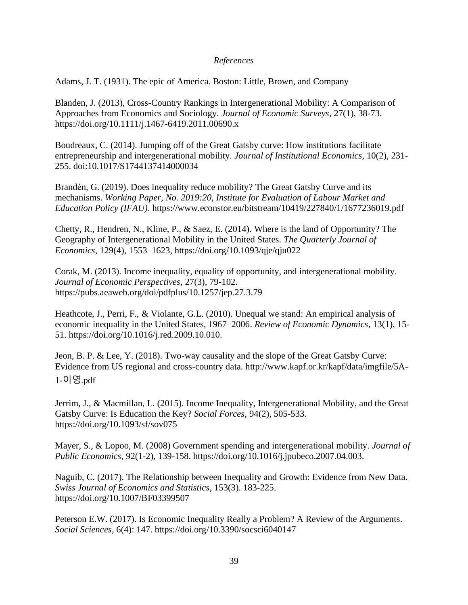## *References*

Adams, J. T. (1931). The epic of America. Boston: Little, Brown, and Company

Blanden, J. (2013), Cross-Country Rankings in Intergenerational Mobility: A Comparison of Approaches from Economics and Sociology*. Journal of Economic Surveys*, 27(1), 38-73. <https://doi.org/10.1111/j.1467-6419.2011.00690.x>

Boudreaux, C. (2014). Jumping off of the Great Gatsby curve: How institutions facilitate entrepreneurship and intergenerational mobility. *Journal of Institutional Economics*, 10(2), 231- 255. doi:10.1017/S1744137414000034

Brandén, G. (2019). Does inequality reduce mobility? The Great Gatsby Curve and its mechanisms. *Working Paper, No. 2019:20, Institute for Evaluation of Labour Market and Education Policy (IFAU)*. https://www.econstor.eu/bitstream/10419/227840/1/1677236019.pdf

Chetty, R., Hendren, N., Kline, P., & Saez, E. (2014). Where is the land of Opportunity? The Geography of Intergenerational Mobility in the United States. *The Quarterly Journal of Economics*, 129(4), 1553–1623, <https://doi.org/10.1093/qje/qju022>

Corak, M. (2013). Income inequality, equality of opportunity, and intergenerational mobility. *Journal of Economic Perspectives*, 27(3), 79-102. https://pubs.aeaweb.org/doi/pdfplus/10.1257/jep.27.3.79

Heathcote, J., Perri, F., & Violante, G.L. (2010). Unequal we stand: An empirical analysis of economic inequality in the United States, 1967–2006. *Review of Economic Dynamics*, 13(1), 15- 51. https://doi.org/10.1016/j.red.2009.10.010.

Jeon, B. P. & Lee, Y. (2018). Two-way causality and the slope of the Great Gatsby Curve: Evidence from US regional and cross-country data. [http://www.kapf.or.kr/kapf/data/imgfile/5A-](http://www.kapf.or.kr/kapf/data/imgfile/5A-1-이영.pdf)1-[이영](http://www.kapf.or.kr/kapf/data/imgfile/5A-1-이영.pdf).pdf

Jerrim, J., & Macmillan, L. (2015). Income Inequality, Intergenerational Mobility, and the Great Gatsby Curve: Is Education the Key? *Social Forces*, 94(2), 505-533. https://doi.org/10.1093/sf/sov075

Mayer, S., & Lopoo, M. (2008) Government spending and intergenerational mobility. *Journal of Public Economics*, 92(1-2), 139-158. https://doi.org/10.1016/j.jpubeco.2007.04.003.

Naguib, C. (2017). The Relationship between Inequality and Growth: Evidence from New Data. *Swiss Journal of Economics and Statistics*, 153(3). 183-225. https://doi.org/10.1007/BF03399507

Peterson E.W. (2017). Is Economic Inequality Really a Problem? A Review of the Arguments. *Social Sciences*, 6(4): 147. https://doi.org/10.3390/socsci6040147